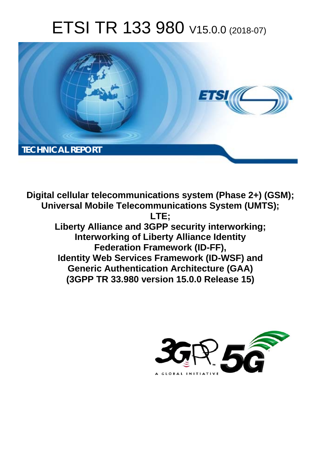# ETSI TR 133 980 V15.0.0 (2018-07)



**Digital cellular telecommunications system (Phase 2+) (GSM); Universal Mobile Telecommunications System (UMTS); LTE; Liberty Alliance and 3GPP security interworking; Interworking of Liberty Alliance Identity Federation Framework (ID-FF), Identity Web Services Framework (ID-WSF) and Generic Authentication Architecture (GAA) (3GPP TR 33.980 version 15.0.0 Release 15)** 

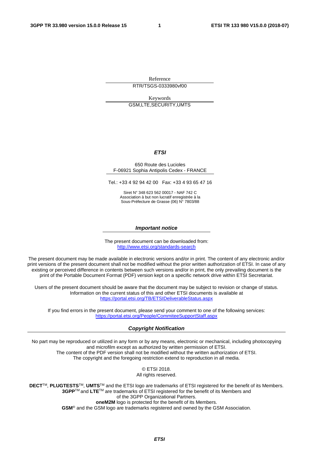Reference RTR/TSGS-0333980vf00

Keywords GSM,LTE,SECURITY,UMTS

#### *ETSI*

#### 650 Route des Lucioles F-06921 Sophia Antipolis Cedex - FRANCE

Tel.: +33 4 92 94 42 00 Fax: +33 4 93 65 47 16

Siret N° 348 623 562 00017 - NAF 742 C Association à but non lucratif enregistrée à la Sous-Préfecture de Grasse (06) N° 7803/88

#### *Important notice*

The present document can be downloaded from: <http://www.etsi.org/standards-search>

The present document may be made available in electronic versions and/or in print. The content of any electronic and/or print versions of the present document shall not be modified without the prior written authorization of ETSI. In case of any existing or perceived difference in contents between such versions and/or in print, the only prevailing document is the print of the Portable Document Format (PDF) version kept on a specific network drive within ETSI Secretariat.

Users of the present document should be aware that the document may be subject to revision or change of status. Information on the current status of this and other ETSI documents is available at <https://portal.etsi.org/TB/ETSIDeliverableStatus.aspx>

If you find errors in the present document, please send your comment to one of the following services: <https://portal.etsi.org/People/CommiteeSupportStaff.aspx>

#### *Copyright Notification*

No part may be reproduced or utilized in any form or by any means, electronic or mechanical, including photocopying and microfilm except as authorized by written permission of ETSI. The content of the PDF version shall not be modified without the written authorization of ETSI. The copyright and the foregoing restriction extend to reproduction in all media.

> © ETSI 2018. All rights reserved.

**DECT**TM, **PLUGTESTS**TM, **UMTS**TM and the ETSI logo are trademarks of ETSI registered for the benefit of its Members. **3GPP**TM and **LTE**TM are trademarks of ETSI registered for the benefit of its Members and of the 3GPP Organizational Partners. **oneM2M** logo is protected for the benefit of its Members.

**GSM**® and the GSM logo are trademarks registered and owned by the GSM Association.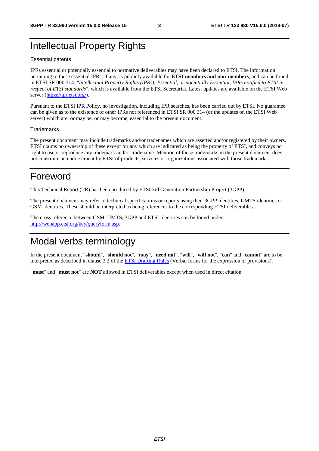# Intellectual Property Rights

#### Essential patents

IPRs essential or potentially essential to normative deliverables may have been declared to ETSI. The information pertaining to these essential IPRs, if any, is publicly available for **ETSI members and non-members**, and can be found in ETSI SR 000 314: *"Intellectual Property Rights (IPRs); Essential, or potentially Essential, IPRs notified to ETSI in respect of ETSI standards"*, which is available from the ETSI Secretariat. Latest updates are available on the ETSI Web server ([https://ipr.etsi.org/\)](https://ipr.etsi.org/).

Pursuant to the ETSI IPR Policy, no investigation, including IPR searches, has been carried out by ETSI. No guarantee can be given as to the existence of other IPRs not referenced in ETSI SR 000 314 (or the updates on the ETSI Web server) which are, or may be, or may become, essential to the present document.

#### **Trademarks**

The present document may include trademarks and/or tradenames which are asserted and/or registered by their owners. ETSI claims no ownership of these except for any which are indicated as being the property of ETSI, and conveys no right to use or reproduce any trademark and/or tradename. Mention of those trademarks in the present document does not constitute an endorsement by ETSI of products, services or organizations associated with those trademarks.

# Foreword

This Technical Report (TR) has been produced by ETSI 3rd Generation Partnership Project (3GPP).

The present document may refer to technical specifications or reports using their 3GPP identities, UMTS identities or GSM identities. These should be interpreted as being references to the corresponding ETSI deliverables.

The cross reference between GSM, UMTS, 3GPP and ETSI identities can be found under [http://webapp.etsi.org/key/queryform.asp.](http://webapp.etsi.org/key/queryform.asp)

# Modal verbs terminology

In the present document "**should**", "**should not**", "**may**", "**need not**", "**will**", "**will not**", "**can**" and "**cannot**" are to be interpreted as described in clause 3.2 of the [ETSI Drafting Rules](https://portal.etsi.org/Services/editHelp!/Howtostart/ETSIDraftingRules.aspx) (Verbal forms for the expression of provisions).

"**must**" and "**must not**" are **NOT** allowed in ETSI deliverables except when used in direct citation.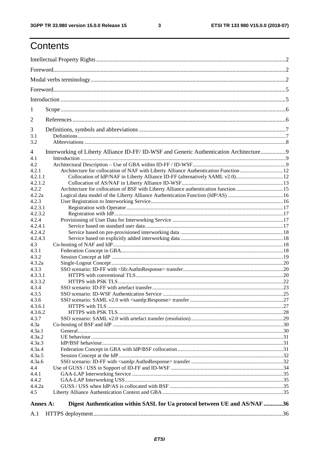$\mathbf{3}$ 

# Contents

| 1                |                                                                                        |  |  |  |  |  |
|------------------|----------------------------------------------------------------------------------------|--|--|--|--|--|
| $\overline{2}$   |                                                                                        |  |  |  |  |  |
| 3                |                                                                                        |  |  |  |  |  |
| 3.1              |                                                                                        |  |  |  |  |  |
| 3.2              |                                                                                        |  |  |  |  |  |
| 4<br>4.1         | Interworking of Liberty Alliance ID-FF/ID-WSF and Generic Authentication Architecture9 |  |  |  |  |  |
| 4.2              |                                                                                        |  |  |  |  |  |
| 4.2.1            | Architecture for collocation of NAF with Liberty Alliance Authentication Function 12   |  |  |  |  |  |
| 4.2.1.1          |                                                                                        |  |  |  |  |  |
| 4.2.1.2          |                                                                                        |  |  |  |  |  |
| 4.2.2<br>4.2.2a  |                                                                                        |  |  |  |  |  |
| 4.2.3            |                                                                                        |  |  |  |  |  |
| 4.2.3.1          |                                                                                        |  |  |  |  |  |
| 4.2.3.2          |                                                                                        |  |  |  |  |  |
| 4.2.4            |                                                                                        |  |  |  |  |  |
| 4.2.4.1          |                                                                                        |  |  |  |  |  |
| 4.2.4.2          |                                                                                        |  |  |  |  |  |
| 4.2.4.3          |                                                                                        |  |  |  |  |  |
| 4.3<br>4.3.1     |                                                                                        |  |  |  |  |  |
| 4.3.2            |                                                                                        |  |  |  |  |  |
| 4.3.2a           |                                                                                        |  |  |  |  |  |
| 4.3.3            |                                                                                        |  |  |  |  |  |
| 4.3.3.1          |                                                                                        |  |  |  |  |  |
| 4.3.3.2          |                                                                                        |  |  |  |  |  |
| 4.3.4            |                                                                                        |  |  |  |  |  |
| 4.3.5            |                                                                                        |  |  |  |  |  |
| 4.3.6<br>4.3.6.1 |                                                                                        |  |  |  |  |  |
| 4.3.6.2          |                                                                                        |  |  |  |  |  |
| 4.3.7            |                                                                                        |  |  |  |  |  |
| 4.3a             |                                                                                        |  |  |  |  |  |
| 4.3a.1           |                                                                                        |  |  |  |  |  |
| 4.3a.2           |                                                                                        |  |  |  |  |  |
| 4.3a.3           |                                                                                        |  |  |  |  |  |
| 4.3a.4<br>4.3a.5 |                                                                                        |  |  |  |  |  |
| 4.3a.6           |                                                                                        |  |  |  |  |  |
| 4.4              |                                                                                        |  |  |  |  |  |
| 4.4.1            |                                                                                        |  |  |  |  |  |
| 4.4.2            |                                                                                        |  |  |  |  |  |
| 4.4.2a           |                                                                                        |  |  |  |  |  |
| 4.5              |                                                                                        |  |  |  |  |  |
| Annex A:         | Digest Authentication within SASL for Ua protocol between UE and AS/NAF 36             |  |  |  |  |  |
| A.1              |                                                                                        |  |  |  |  |  |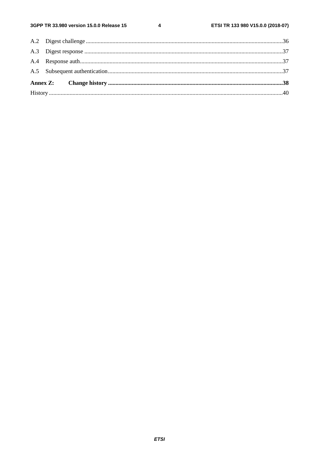$\overline{\mathbf{4}}$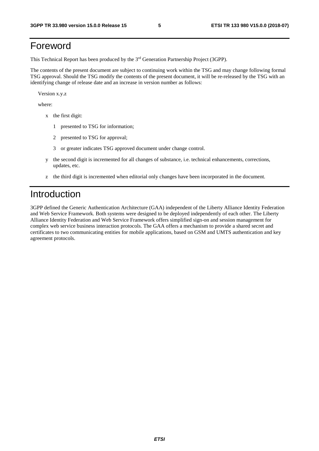# Foreword

This Technical Report has been produced by the 3rd Generation Partnership Project (3GPP).

The contents of the present document are subject to continuing work within the TSG and may change following formal TSG approval. Should the TSG modify the contents of the present document, it will be re-released by the TSG with an identifying change of release date and an increase in version number as follows:

Version x.y.z

where:

- x the first digit:
	- 1 presented to TSG for information;
	- 2 presented to TSG for approval;
	- 3 or greater indicates TSG approved document under change control.
- y the second digit is incremented for all changes of substance, i.e. technical enhancements, corrections, updates, etc.
- z the third digit is incremented when editorial only changes have been incorporated in the document.

# Introduction

3GPP defined the Generic Authentication Architecture (GAA) independent of the Liberty Alliance Identity Federation and Web Service Framework. Both systems were designed to be deployed independently of each other. The Liberty Alliance Identity Federation and Web Service Framework offers simplified sign-on and session management for complex web service business interaction protocols. The GAA offers a mechanism to provide a shared secret and certificates to two communicating entities for mobile applications, based on GSM and UMTS authentication and key agreement protocols.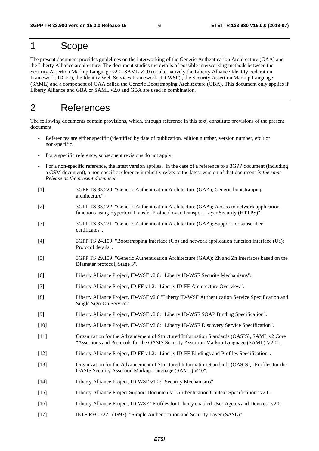# 1 Scope

The present document provides guidelines on the interworking of the Generic Authentication Architecture (GAA) and the Liberty Alliance architecture. The document studies the details of possible interworking methods between the Security Assertion Markup Language v2.0, SAML v2.0 (or alternatively the Liberty Alliance Identity Federation Framework, ID-FF), the Identity Web Services Framework (ID-WSF) , the Security Assertion Markup Language (SAML) and a component of GAA called the Generic Bootstrapping Architecture (GBA). This document only applies if Liberty Alliance and GBA or SAML v2.0 and GBA are used in combination.

# 2 References

The following documents contain provisions, which, through reference in this text, constitute provisions of the present document.

- References are either specific (identified by date of publication, edition number, version number, etc.) or non-specific.
- For a specific reference, subsequent revisions do not apply.
- For a non-specific reference, the latest version applies. In the case of a reference to a 3GPP document (including a GSM document), a non-specific reference implicitly refers to the latest version of that document *in the same Release as the present document*.
- [1] 3GPP TS 33.220: "Generic Authentication Architecture (GAA); Generic bootstrapping architecture".
- [2] 3GPP TS 33.222: "Generic Authentication Architecture (GAA); Access to network application functions using Hypertext Transfer Protocol over Transport Layer Security (HTTPS)".
- [3] 3GPP TS 33.221: "Generic Authentication Architecture (GAA); Support for subscriber certificates".
- [4] 3GPP TS 24.109: "Bootstrapping interface (Ub) and network application function interface (Ua); Protocol details".
- [5] 3GPP TS 29.109: "Generic Authentication Architecture (GAA); Zh and Zn Interfaces based on the Diameter protocol; Stage 3".
- [6] Liberty Alliance Project, ID-WSF v2.0: "Liberty ID-WSF Security Mechanisms".
- [7] Liberty Alliance Project, ID-FF v1.2: "Liberty ID-FF Architecture Overview".
- [8] Liberty Alliance Project, ID-WSF v2.0 "Liberty ID-WSF Authentication Service Specification and Single Sign-On Service".
- [9] Liberty Alliance Project, ID-WSF v2.0: "Liberty ID-WSF SOAP Binding Specification".
- [10] Liberty Alliance Project, ID-WSF v2.0: "Liberty ID-WSF Discovery Service Specification".
- [11] Organization for the Advancement of Structured Information Standards (OASIS), SAML v2 Core "Assertions and Protocols for the OASIS Security Assertion Markup Language (SAML) V2.0".
- [12] Liberty Alliance Project, ID-FF v1.2: "Liberty ID-FF Bindings and Profiles Specification".
- [13] Organization for the Advancement of Structured Information Standards (OASIS), "Profiles for the OASIS Security Assertion Markup Language (SAML) v2.0".
- [14] Liberty Alliance Project, ID-WSF v1.2: "Security Mechanisms".
- [15] Liberty Alliance Project Support Documents: "Authentication Context Specification" v2.0.
- [16] Liberty Alliance Project, ID-WSF "Profiles for Liberty enabled User Agents and Devices" v2.0.
- [17] IETF RFC 2222 (1997), "Simple Authentication and Security Layer (SASL)".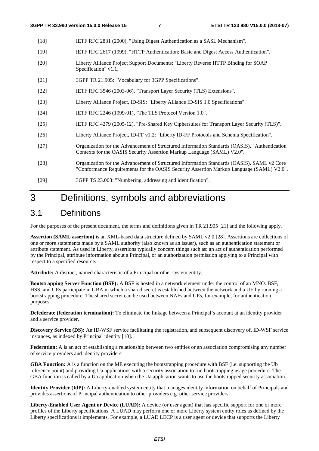- [18] IETF RFC 2831 (2000), "Using Digest Authentication as a SASL Mechanism".
- [19] IETF RFC 2617 (1999), "HTTP Authentication: Basic and Digest Access Authentication".
- [20] Liberty Alliance Project Support Documents: "Liberty Reverse HTTP Binding for SOAP Specification" v1.1.
- [21] 3GPP TR 21.905: "Vocabulary for 3GPP Specifications".
- [22] IETF RFC 3546 (2003-06), "Transport Layer Security (TLS) Extensions".
- [23] Liberty Alliance Project, ID-SIS: "Liberty Alliance ID-SIS 1.0 Specifications".
- [24] **IETF RFC 2246 (1999-01), "The TLS Protocol Version 1.0".**
- [25] IETF RFC 4279 (2005-12), "Pre-Shared Key Ciphersuites for Transport Layer Security (TLS)".
- [26] Liberty Alliance Project, ID-FF v1.2: "Liberty ID-FF Protocols and Schema Specification".
- [27] Organization for the Advancement of Structured Information Standards (OASIS), "Authentication Contexts for the OASIS Security Assertion Markup Language (SAML) V2.0".
- [28] Organization for the Advancement of Structured Information Standards (OASIS), SAML v2 Core "Conformance Requirements for the OASIS Security Assertion Markup Language (SAML) V2.0".
- [29] 3GPP TS 23.003: "Numbering, addressing and identification".

# 3 Definitions, symbols and abbreviations

## 3.1 Definitions

For the purposes of the present document, the terms and definitions given in TR 21.905 [21] and the following apply.

**Assertion (SAML assertion)** is an XML-based data structure defined by SAML v2.0 [28]. Assertions are collections of one or more statements made by a SAML authority (also known as an issuer), such as an authentication statement or attribute statement. As used in Liberty, assertions typically concern things such as: an act of authentication performed by the Principal, attribute information about a Principal, or an authorization permission applying to a Principal with respect to a specified resource.

**Attribute:** A distinct, named characteristic of a Principal or other system entity.

**Bootstrapping Server Function (BSF):** A BSF is hosted in a network element under the control of an MNO. BSF, HSS, and UEs participate in GBA in which a shared secret is established between the network and a UE by running a bootstrapping procedure. The shared secret can be used between NAFs and UEs, for example, for authentication purposes.

**Defederate (federation termination):** To eliminate the linkage between a Principal's account at an identity provider and a service provider.

**Discovery Service (DS):** An ID-WSF service facilitating the registration, and subsequent discovery of, ID-WSF service instances, as indexed by Principal identity [10].

**Federation:** A is an act of establishing a relationship between two entities or an association compromising any number of service providers and identity providers.

**GBA Function:** A is a function on the ME executing the bootstrapping procedure with BSF (i.e. supporting the Ub reference point) and providing Ua applications with a security association to run bootstrapping usage procedure. The GBA function is called by a Ua application when the Ua application wants to use the bootstrapped security association.

**Identity Provider (IdP):** A Liberty-enabled system entity that manages identity information on behalf of Principals and provides assertions of Principal authentication to other providers e.g. other service providers.

Liberty-Enabled User Agent or Device (LUAD): A device (or user agent) that has specific support for one or more profiles of the Liberty specifications. A LUAD may perform one or more Liberty system entity roles as defined by the Liberty specifications it implements. For example, a LUAD LECP is a user agent or device that supports the Liberty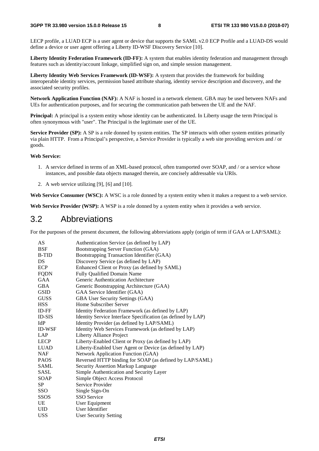LECP profile, a LUAD ECP is a user agent or device that supports the SAML v2.0 ECP Profile and a LUAD-DS would define a device or user agent offering a Liberty ID-WSF Discovery Service [10].

**Liberty Identity Federation Framework (ID-FF):** A system that enables identity federation and management through features such as identity/account linkage, simplified sign on, and simple session management.

**Liberty Identity Web Services Framework (ID-WSF):** A system that provides the framework for building interoperable identity services, permission based attribute sharing, identity service description and discovery, and the associated security profiles.

**Network Application Function (NAF):** A NAF is hosted in a network element. GBA may be used between NAFs and UEs for authentication purposes, and for securing the communication path between the UE and the NAF.

**Principal:** A principal is a system entity whose identity can be authenticated. In Liberty usage the term Principal is often synonymous with "user". The Principal is the legitimate user of the UE.

**Service Provider (SP):** A SP is a role donned by system entities. The SP interacts with other system entities primarily via plain HTTP. From a Principal's perspective, a Service Provider is typically a web site providing services and / or goods.

#### **Web Service:**

- 1. A service defined in terms of an XML-based protocol, often transported over SOAP, and / or a service whose instances, and possible data objects managed therein, are concisely addressable via URIs.
- 2. A web service utilizing [9], [6] and [10].

Web Service Consumer (WSC): A WSC is a role donned by a system entity when it makes a request to a web service.

Web Service Provider (WSP): A WSP is a role donned by a system entity when it provides a web service.

## 3.2 Abbreviations

For the purposes of the present document, the following abbreviations apply (origin of term if GAA or LAP/SAML):

| AS            | Authentication Service (as defined by LAP)                   |
|---------------|--------------------------------------------------------------|
| <b>BSF</b>    | Bootstrapping Server Function (GAA)                          |
| <b>B-TID</b>  | Bootstrapping Transaction Identifier (GAA)                   |
| DS.           | Discovery Service (as defined by LAP)                        |
| <b>ECP</b>    | Enhanced Client or Proxy (as defined by SAML)                |
| <b>FQDN</b>   | Fully Qualified Domain Name                                  |
| GAA           | Generic Authentication Architecture                          |
| <b>GBA</b>    | Generic Bootstrapping Architecture (GAA)                     |
| <b>GSID</b>   | GAA Service Identifier (GAA)                                 |
| <b>GUSS</b>   | GBA User Security Settings (GAA)                             |
| <b>HSS</b>    | Home Subscriber Server                                       |
| ID-FF         | Identity Federation Framework (as defined by LAP)            |
| <b>ID-SIS</b> | Identity Service Interface Specification (as defined by LAP) |
| IdP           | Identity Provider (as defined by LAP/SAML)                   |
| <b>ID-WSF</b> | Identity Web Services Framework (as defined by LAP)          |
| LAP           | Liberty Alliance Project                                     |
| <b>LECP</b>   | Liberty-Enabled Client or Proxy (as defined by LAP)          |
| <b>LUAD</b>   | Liberty-Enabled User Agent or Device (as defined by LAP)     |
| <b>NAF</b>    | Network Application Function (GAA)                           |
| <b>PAOS</b>   | Reversed HTTP binding for SOAP (as defined by LAP/SAML)      |
| <b>SAML</b>   | <b>Security Assertion Markup Language</b>                    |
| <b>SASL</b>   | Simple Authentication and Security Layer                     |
| SOAP          | Simple Object Access Protocol                                |
| <b>SP</b>     | Service Provider                                             |
| <b>SSO</b>    | Single Sign-On                                               |
| <b>SSOS</b>   | <b>SSO</b> Service                                           |
| UE            | User Equipment                                               |
| UID.          | User Identifier                                              |
| <b>USS</b>    | <b>User Security Setting</b>                                 |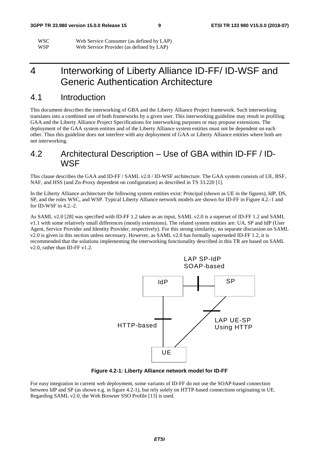| <b>WSC</b> | Web Service Consumer (as defined by LAP) |
|------------|------------------------------------------|
| <b>WSP</b> | Web Service Provider (as defined by LAP) |

# 4 Interworking of Liberty Alliance ID-FF/ ID-WSF and Generic Authentication Architecture

# 4.1 Introduction

This document describes the interworking of GBA and the Liberty Alliance Project framework. Such interworking translates into a combined use of both frameworks by a given user. This interworking guideline may result in profiling GAA and the Liberty Alliance Project Specifications for interworking purposes or may propose extensions. The deployment of the GAA system entities and of the Liberty Alliance system entities must not be dependent on each other. Thus this guideline does not interfere with any deployment of GAA or Liberty Alliance entities where both are not interworking.

# 4.2 Architectural Description – Use of GBA within ID-FF / ID-WSF

This clause describes the GAA and ID-FF / SAML v2.0 / ID-WSF architecture. The GAA system consists of UE, BSF, NAF, and HSS (and Zn-Proxy dependent on configuration) as described in TS 33.220 [1].

In the Liberty Alliance architecture the following system entities exist: Principal (shown as UE in the figures), IdP, DS, SP, and the roles WSC, and WSP. Typical Liberty Alliance network models are shown for ID-FF in Figure 4.2.-1 and for ID-WSF in 4.2.-2.

As SAML v2.0 [28] was specified with ID-FF 1.2 taken as an input, SAML v2.0 is a superset of ID-FF 1.2 and SAML v1.1 with some relatively small differences (mostly extensions). The related system entities are: UA, SP and IdP (User Agent, Service Provider and Identity Provider, respectively). For this strong similarity, no separate discussion on SAML v2.0 is given in this section unless necessary. However, as SAML v2.0 has formally superseded ID-FF 1.2, it is recommended that the solutions implementing the interworking functionality described in this TR are based on SAML v2.0, rather than ID-FF v1.2.





For easy integration in current web deployment, some variants of ID-FF do not use the SOAP-based connection between IdP and SP (as shown e.g. in figure 4.2-1), but rely solely on HTTP-based connections originating in UE. Regarding SAML v2.0, the Web Browser SSO Profile [13] is used.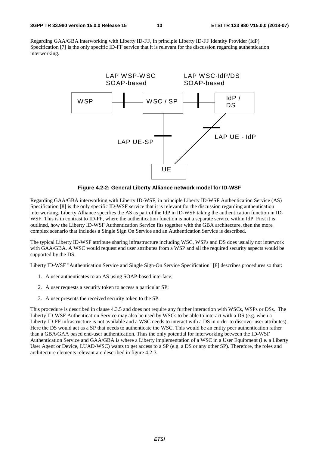Regarding GAA/GBA interworking with Liberty ID-FF, in principle Liberty ID-FF Identity Provider (IdP) Specification [7] is the only specific ID-FF service that it is relevant for the discussion regarding authentication interworking.



**Figure 4.2-2: General Liberty Alliance network model for ID-WSF** 

Regarding GAA/GBA interworking with Liberty ID-WSF, in principle Liberty ID-WSF Authentication Service (AS) Specification [8] is the only specific ID-WSF service that it is relevant for the discussion regarding authentication interworking. Liberty Alliance specifies the AS as part of the IdP in ID-WSF taking the authentication function in ID-WSF. This is in contrast to ID-FF, where the authentication function is not a separate service within IdP. First it is outlined, how the Liberty ID-WSF Authentication Service fits together with the GBA architecture, then the more complex scenario that includes a Single Sign On Service and an Authentication Service is described.

The typical Liberty ID-WSF attribute sharing infrastructure including WSC, WSPs and DS does usually not interwork with GAA/GBA. A WSC would request end user attributes from a WSP and all the required security aspects would be supported by the DS.

Liberty ID-WSF "Authentication Service and Single Sign-On Service Specification" [8] describes procedures so that:

- 1. A user authenticates to an AS using SOAP-based interface;
- 2. A user requests a security token to access a particular SP;
- 3. A user presents the received security token to the SP.

This procedure is described in clause 4.3.5 and does not require any further interaction with WSCs, WSPs or DSs. The Liberty ID-WSF Authentication Service may also be used by WSCs to be able to interact with a DS (e.g. when a Liberty ID-FF infrastructure is not available and a WSC needs to interact with a DS in order to discover user attributes). Here the DS would act as a SP that needs to authenticate the WSC. This would be an entity peer authentication rather than a GBA/GAA based end-user authentication. Thus the only potential for interworking between the ID-WSF Authentication Service and GAA/GBA is where a Liberty implementation of a WSC in a User Equipment (i.e. a Liberty User Agent or Device, LUAD-WSC) wants to get access to a SP (e.g. a DS or any other SP). Therefore, the roles and architecture elements relevant are described in figure 4.2-3.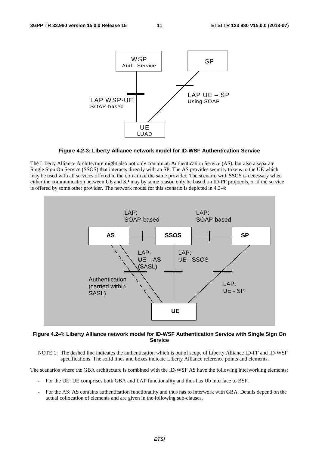

**Figure 4.2-3: Liberty Alliance network model for ID-WSF Authentication Service** 

The Liberty Alliance Architecture might also not only contain an Authentication Service (AS), but also a separate Single Sign On Service (SSOS) that interacts directly with an SP. The AS provides security tokens to the UE which may be used with all services offered in the domain of the same provider. The scenario with SSOS is necessary when either the communication between UE and SP may by some reason only be based on ID-FF protocols, or if the service is offered by some other provider. The network model for this scenario is depicted in 4.2-4:



**Figure 4.2-4: Liberty Alliance network model for ID-WSF Authentication Service with Single Sign On Service** 

NOTE 1: The dashed line indicates the authentication which is out of scope of Liberty Alliance ID-FF and ID-WSF specifications. The solid lines and boxes indicate Liberty Alliance reference points and elements.

The scenarios where the GBA architecture is combined with the ID-WSF AS have the following interworking elements:

- For the UE: UE comprises both GBA and LAP functionality and thus has Ub interface to BSF.
- For the AS: AS contains authentication functionality and thus has to interwork with GBA. Details depend on the actual collocation of elements and are given in the following sub-clauses.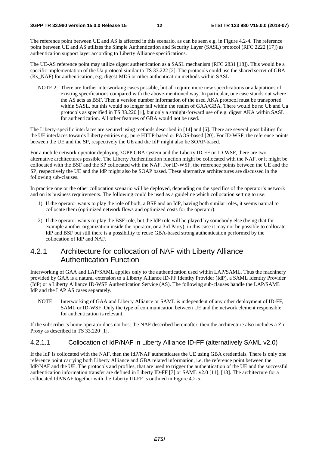The reference point between UE and AS is affected in this scenario, as can be seen e.g. in Figure 4.2-4. The reference point between UE and AS utilizes the Simple Authentication and Security Layer (SASL) protocol (RFC 2222 [17]) as authentication support layer according to Liberty Alliance specifications.

The UE-AS reference point may utilize digest authentication as a SASL mechanism (RFC 2831 [18]). This would be a specific implementation of the Ua protocol similar to TS 33.222 [2]. The protocols could use the shared secret of GBA (Ks\_NAF) for authentication, e.g. digest-MD5 or other authentication methods within SASL

NOTE 2: There are further interworking cases possible, but all require more new specifications or adaptations of existing specifications compared with the above-mentioned way. In particular, one case stands out where the AS acts as BSF. Then a version number information of the used AKA protocol must be transported within SASL, but this would no longer fall within the realm of GAA/GBA. There would be no Ub and Ua protocols as specified in TS 33.220 [1], but only a straight-forward use of e.g. digest AKA within SASL for authentication. All other features of GBA would not be used.

The Liberty-specific interfaces are secured using methods described in [14] and [6]. There are several possibilities for the UE interfaces towards Liberty entities e.g. pure HTTP-based or PAOS-based [20]. For ID-WSF, the reference points between the UE and the SP, respectively the UE and the IdP might also be SOAP-based.

For a mobile network operator deploying 3GPP GBA system and the Liberty ID-FF or ID-WSF, there are two alternative architectures possible. The Liberty Authentication function might be collocated with the NAF, or it might be collocated with the BSF and the SP collocated with the NAF. For ID-WSF, the reference points between the UE and the SP, respectively the UE and the IdP might also be SOAP based. These alternative architectures are discussed in the following sub-clauses.

In practice one or the other collocation scenario will be deployed, depending on the specifics of the operator's network and on its business requirements. The following could be used as a guideline which collocation setting to use:

- 1) If the operator wants to play the role of both, a BSF and an IdP, having both similar roles, it seems natural to collocate them (optimized network flows and optimized costs for the operator).
- 2) If the operator wants to play the BSF role, but the IdP role will be played by somebody else (being that for example another organization inside the operator, or a 3rd Party), in this case it may not be possible to collocate IdP and BSF but still there is a possibility to reuse GBA-based strong authentication performed by the collocation of IdP and NAF.

### 4.2.1 Architecture for collocation of NAF with Liberty Alliance Authentication Function

Interworking of GAA and LAP/SAML applies only to the authentication used within LAP/SAML. Thus the machinery provided by GAA is a natural extension to a Liberty Alliance ID-FF Identity Provider (IdP), a SAML Identity Provider (IdP) or a Liberty Alliance ID-WSF Authentication Service (AS). The following sub-clauses handle the LAP/SAML IdP and the LAP AS cases separately.

NOTE: Interworking of GAA and Liberty Alliance or SAML is independent of any other deployment of ID-FF, SAML or ID-WSF. Only the type of communication between UE and the network element responsible for authentication is relevant.

If the subscriber's home operator does not host the NAF described hereinafter, then the architecture also includes a Zn-Proxy as described in TS 33.220 [1].

#### 4.2.1.1 Collocation of IdP/NAF in Liberty Alliance ID-FF (alternatively SAML v2.0)

If the IdP is collocated with the NAF, then the IdP/NAF authenticates the UE using GBA credentials. There is only one reference point carrying both Liberty Alliance and GBA related information, i.e. the reference point between the IdP/NAF and the UE. The protocols and profiles, that are used to trigger the authentication of the UE and the successful authentication information transfer are defined in Liberty ID-FF [7] or SAML v2.0 [11], [13]. The architecture for a collocated IdP/NAF together with the Liberty ID-FF is outlined in Figure 4.2-5.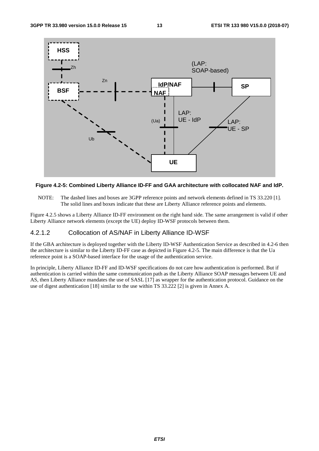

#### **Figure 4.2-5: Combined Liberty Alliance ID-FF and GAA architecture with collocated NAF and IdP.**

NOTE: The dashed lines and boxes are 3GPP reference points and network elements defined in TS 33.220 [1]. The solid lines and boxes indicate that these are Liberty Alliance reference points and elements.

Figure 4.2.5 shows a Liberty Alliance ID-FF environment on the right hand side. The same arrangement is valid if other Liberty Alliance network elements (except the UE) deploy ID-WSF protocols between them.

#### 4.2.1.2 Collocation of AS/NAF in Liberty Alliance ID-WSF

If the GBA architecture is deployed together with the Liberty ID-WSF Authentication Service as described in 4.2-6 then the architecture is similar to the Liberty ID-FF case as depicted in Figure 4.2-5. The main difference is that the Ua reference point is a SOAP-based interface for the usage of the authentication service.

In principle, Liberty Alliance ID-FF and ID-WSF specifications do not care how authentication is performed. But if authentication is carried within the same communication path as the Liberty Alliance SOAP messages between UE and AS, then Liberty Alliance mandates the use of SASL [17] as wrapper for the authentication protocol. Guidance on the use of digest authentication [18] similar to the use within TS 33.222 [2] is given in Annex A.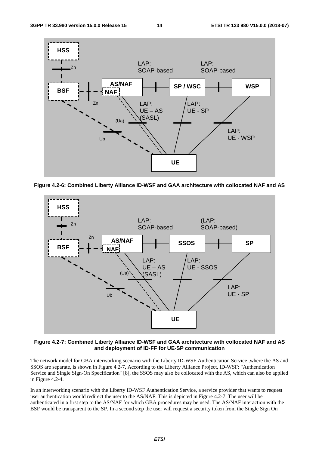

**Figure 4.2-6: Combined Liberty Alliance ID-WSF and GAA architecture with collocated NAF and AS** 



**Figure 4.2-7: Combined Liberty Alliance ID-WSF and GAA architecture with collocated NAF and AS and deployment of ID-FF for UE-SP communication** 

The network model for GBA interworking scenario with the Liberty ID-WSF Authentication Service ,where the AS and SSOS are separate, is shown in Figure 4.2-7, According to the Liberty Alliance Project, ID-WSF: "Authentication Service and Single Sign-On Specification" [8], the SSOS may also be collocated with the AS, which can also be applied in Figure 4.2-4.

In an interworking scenario with the Liberty ID-WSF Authentication Service, a service provider that wants to request user authentication would redirect the user to the AS/NAF. This is depicted in Figure 4.2-7. The user will be authenticated in a first step to the AS/NAF for which GBA procedures may be used. The AS/NAF interaction with the BSF would be transparent to the SP. In a second step the user will request a security token from the Single Sign On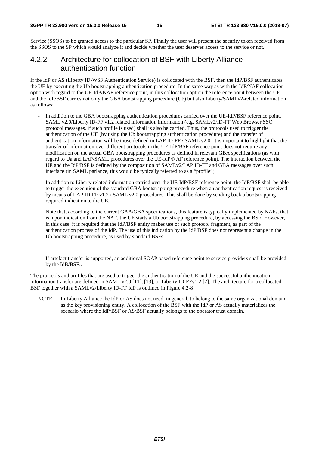Service (SSOS) to be granted access to the particular SP. Finally the user will present the security token received from the SSOS to the SP which would analyze it and decide whether the user deserves access to the service or not.

### 4.2.2 Architecture for collocation of BSF with Liberty Alliance authentication function

If the IdP or AS (Liberty ID-WSF Authentication Service) is collocated with the BSF, then the IdP/BSF authenticates the UE by executing the Ub bootstrapping authentication procedure. In the same way as with the IdP/NAF collocation option with regard to the UE-IdP/NAF reference point, in this collocation option the reference point between the UE and the IdP/BSF carries not only the GBA bootstrapping procedure (Ub) but also Liberty/SAMLv2-related information as follows:

- In addition to the GBA bootstrapping authentication procedures carried over the UE-IdP/BSF reference point, SAML v2.0/Liberty ID-FF v1.2 related information information (e.g. SAMLv2/ID-FF Web Browser SSO protocol messages, if such profile is used) shall is also be carried. Thus, the protocols used to trigger the authentication of the UE (by using the Ub bootstrapping authentication procedure) and the transfer of authentication information will be those defined in LAP ID-FF / SAML v2.0. It is important to highlight that the transfer of information over different protocols in the UE-IdP/BSF reference point does not require any modification on the actual GBA bootstrapping procedures as defined in relevant GBA specifications (as with regard to Ua and LAP/SAML procedures over the UE-IdP/NAF reference point). The interaction between the UE and the IdP/BSF is defined by the composition of SAMLv2/LAP ID-FF and GBA messages over such interface (in SAML parlance, this would be typically referred to as a "profile").
- In addition to Liberty related information carried over the UE-IdP/BSF reference point, the IdP/BSF shall be able to trigger the execution of the standard GBA bootstrapping procedure when an authentication request is received by means of LAP ID-FF v1.2 / SAML v2.0 procedures. This shall be done by sending back a bootstrapping required indication to the UE.

Note that, according to the current GAA/GBA specifications, this feature is typically implemented by NAFs, that is, upon indication from the NAF, the UE starts a Ub bootstrapping procedure, by accessing the BSF. However, in this case, it is required that the IdP/BSF entity makes use of such protocol fragment, as part of the authentication process of the IdP. The use of this indication by the IdP/BSF does not represent a change in the Ub bootstrapping procedure, as used by standard BSFs.

If artefact transfer is supported, an additional SOAP based reference point to service providers shall be provided by the IdB/BSF..

The protocols and profiles that are used to trigger the authentication of the UE and the successful authentication information transfer are defined in SAML v2.0 [11], [13], or Liberty ID-FFv1.2 [7]. The architecture for a collocated BSF together with a SAMLv2/Liberty ID-FF IdP is outlined in Figure 4.2-8

NOTE: In Liberty Alliance the IdP or AS does not need, in general, to belong to the same organizational domain as the key provisioning entity. A collocation of the BSF with the IdP or AS actually materializes the scenario where the IdP/BSF or AS/BSF actually belongs to the operator trust domain.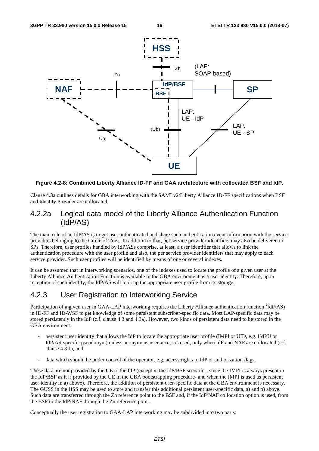

**Figure 4.2-8: Combined Liberty Alliance ID-FF and GAA architecture with collocated BSF and IdP.** 

Clause 4.3a outlines details for GBA interworking with the SAMLv2/Liberty Alliance ID-FF specifications when BSF and Identity Provider are collocated.

#### 4.2.2a Logical data model of the Liberty Alliance Authentication Function (IdP/AS)

The main role of an IdP/AS is to get user authenticated and share such authentication event information with the service providers belonging to the Circle of Trust. In addition to that, per service provider identifiers may also be delivered to SPs. Therefore, user profiles handled by IdP/ASs comprise, at least, a user identifier that allows to link the authentication procedure with the user profile and also, the per service provider identifiers that may apply to each service provider. Such user profiles will be identified by means of one or several indexes.

It can be assumed that in interworking scenarios, one of the indexes used to locate the profile of a given user at the Liberty Alliance Authentication Function is available in the GBA environment as a user identity. Therefore, upon reception of such identity, the IdP/AS will look up the appropriate user profile from its storage.

## 4.2.3 User Registration to Interworking Service

Participation of a given user in GAA-LAP interworking requires the Liberty Alliance authentication function (IdP/AS) in ID-FF and ID-WSF to get knowledge of some persistent subscriber-specific data. Most LAP-specific data may be stored persistently in the IdP (c.f. clause 4.3 and 4.3a). However, two kinds of persistent data need to be stored in the GBA environment:

- persistent user identity that allows the IdP to locate the appropriate user profile (IMPI or UID, e.g. IMPU or IdP/AS-specific pseudonym) unless anonymous user access is used, only when IdP and NAF are collocated (c.f. clause 4.3.1), and
- data which should be under control of the operator, e.g. access rights to IdP or authorization flags.

These data are not provided by the UE to the IdP (except in the IdP/BSF scenario - since the IMPI is always present in the IdP/BSF as it is provided by the UE in the GBA bootstrapping procedure- and when the IMPI is used as persistent user identity in a) above). Therefore, the addition of persistent user-specific data at the GBA environment is necessary. The GUSS in the HSS may be used to store and transfer this additional persistent user-specific data, a) and b) above. Such data are transferred through the Zh reference point to the BSF and, if the IdP/NAF collocation option is used, from the BSF to the IdP/NAF through the Zn reference point.

Conceptually the user registration to GAA-LAP interworking may be subdivided into two parts: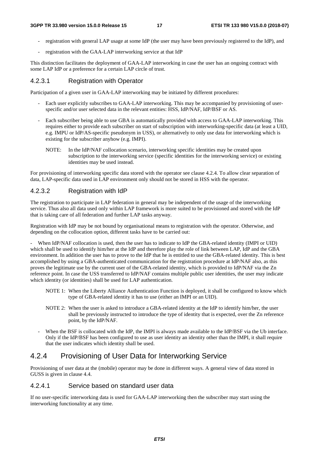- registration with general LAP usage at some IdP (the user may have been previously registered to the IdP), and
- registration with the GAA-LAP interworking service at that IdP

This distinction facilitates the deployment of GAA-LAP interworking in case the user has an ongoing contract with some LAP IdP or a preference for a certain LAP circle of trust.

#### 4.2.3.1 Registration with Operator

Participation of a given user in GAA-LAP interworking may be initiated by different procedures:

- Each user explicitly subscribes to GAA-LAP interworking. This may be accompanied by provisioning of userspecific and/or user selected data in the relevant entities: HSS, IdP/NAF, IdP/BSF or AS.
- Each subscriber being able to use GBA is automatically provided with access to GAA-LAP interworking. This requires either to provide each subscriber on start of subscription with interworking-specific data (at least a UID, e.g. IMPU or IdP/AS-specific pseudonym in USS), or alternatively to only use data for interworking which is existing for the subscriber anyhow (e.g. IMPI).
	- NOTE: In the IdP/NAF collocation scenario, interworking specific identities may be created upon subscription to the interworking service (specific identities for the interworking service) or existing identities may be used instead.

For provisioning of interworking specific data stored with the operator see clause 4.2.4. To allow clear separation of data, LAP-specific data used in LAP environment only should not be stored in HSS with the operator.

#### 4.2.3.2 Registration with IdP

The registration to participate in LAP federation in general may be independent of the usage of the interworking service. Thus also all data used only within LAP framework is more suited to be provisioned and stored with the IdP that is taking care of all federation and further LAP tasks anyway.

Registration with IdP may be not bound by organisational means to registration with the operator. Otherwise, and depending on the collocation option, different tasks have to be carried out:

When IdP/NAF collocation is used, then the user has to indicate to IdP the GBA-related identity (IMPI or UID) which shall be used to identify him/her at the IdP and therefore play the role of link between LAP, IdP and the GBA environment. In addition the user has to prove to the IdP that he is entitled to use the GBA-related identity. This is best accomplished by using a GBA-authenticated communication for the registration procedure at IdP/NAF also, as this proves the legitimate use by the current user of the GBA-related identity, which is provided to IdP/NAF via the Zn reference point. In case the USS transferred to IdP/NAF contains multiple public user identities, the user may indicate which identity (or identities) shall be used for LAP authentication.

- NOTE 1: When the Liberty Alliance Authentication Function is deployed, it shall be configured to know which type of GBA-related identity it has to use (either an IMPI or an UID).
- NOTE 2: When the user is asked to introduce a GBA-related identity at the IdP to identify him/her, the user shall be previously instructed to introduce the type of identity that is expected, over the Zn reference point, by the IdP/NAF.
- When the BSF is collocated with the IdP, the IMPI is always made available to the IdP/BSF via the Ub interface. Only if the IdP/BSF has been configured to use as user identity an identity other than the IMPI, it shall require that the user indicates which identity shall be used.

#### 4.2.4 Provisioning of User Data for Interworking Service

Provisioning of user data at the (mobile) operator may be done in different ways. A general view of data stored in GUSS is given in clause 4.4.

#### 4.2.4.1 Service based on standard user data

If no user-specific interworking data is used for GAA-LAP interworking then the subscriber may start using the interworking functionality at any time.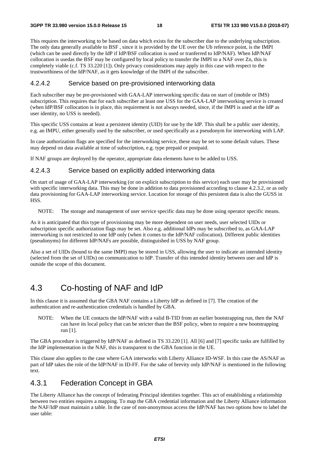This requires the interworking to be based on data which exists for the subscriber due to the underlying subscription. The only data generally available to BSF , since it is provided by the UE over the Ub reference point, is the IMPI (which can be used directly by the IdP if IdP/BSF collocation is used or tranferred to IdP/NAF). When IdP/NAF collocation is usedas the BSF may be configured by local policy to transfer the IMPI to a NAF over Zn, this is completely viable (c.f. TS 33.220 [1]). Only privacy considerations may apply in this case with respect to the trustworthiness of the IdP/NAF, as it gets knowledge of the IMPI of the subscriber.

#### 4.2.4.2 Service based on pre-provisioned interworking data

Each subscriber may be pre-provisioned with GAA-LAP interworking specific data on start of (mobile or IMS) subscription. This requires that for each subscriber at least one USS for the GAA-LAP interworking service is created (when IdP/BSF collocation is in place, this requirement is not always needed, since, if the IMPI is used at the IdP as user identity, no USS is needed).

This specific USS contains at least a persistent identity (UID) for use by the IdP. This shall be a public user identity, e.g. an IMPU, either generally used by the subscriber, or used specifically as a pseudonym for interworking with LAP.

In case authorization flags are specified for the interworking service, these may be set to some default values. These may depend on data available at time of subscription, e.g. type prepaid or postpaid.

If NAF groups are deployed by the operator, appropriate data elements have to be added to USS.

#### 4.2.4.3 Service based on explicitly added interworking data

On start of usage of GAA-LAP interworking (or on explicit subscription to this service) each user may be provisioned with specific interworking data. This may be done in addition to data provisioned according to clause 4.2.3.2, or as only data provisioning for GAA-LAP interworking service. Location for storage of this persistent data is also the GUSS in HSS.

NOTE: The storage and management of user service specific data may be done using operator specific means.

As it is anticipated that this type of provisioning may be more dependent on user needs, user selected UIDs or subscription specific authorization flags may be set. Also e.g. additional IdPs may be subscribed to, as GAA-LAP interworking is not restricted to one IdP only (when it comes to the IdP/NAF collocation). Different public identities (pseudonyms) for different IdP/NAFs are possible, distinguished in USS by NAF group.

Also a set of UIDs (bound to the same IMPI) may be stored in USS, allowing the user to indicate an intended identity (selected from the set of UIDs) on communication to IdP. Transfer of this intended identity between user and IdP is outside the scope of this document.

# 4.3 Co-hosting of NAF and IdP

In this clause it is assumed that the GBA NAF contains a Liberty IdP as defined in [7]. The creation of the authentication and re-authentication credentials is handled by GBA.

NOTE: When the UE contacts the IdP/NAF with a valid B-TID from an earlier bootstrapping run, then the NAF can have its local policy that can be stricter than the BSF policy, when to require a new bootstrapping run [1].

The GBA procedure is triggered by IdP/NAF as defined in TS 33.220 [1]. All [6] and [7] specific tasks are fulfilled by the IdP implementation in the NAF, this is transparent to the GBA function in the UE.

This clause also applies to the case where GAA interworks with Liberty Alliance ID-WSF. In this case the AS/NAF as part of IdP takes the role of the IdP/NAF in ID-FF. For the sake of brevity only IdP/NAF is mentioned in the following text.

#### 4.3.1 Federation Concept in GBA

The Liberty Alliance has the concept of federating Principal identities together. This act of establishing a relationship between two entities requires a mapping. To map the GBA credential information and the Liberty Alliance information the NAF/IdP must maintain a table. In the case of non-anonymous access the IdP/NAF has two options how to label the user table: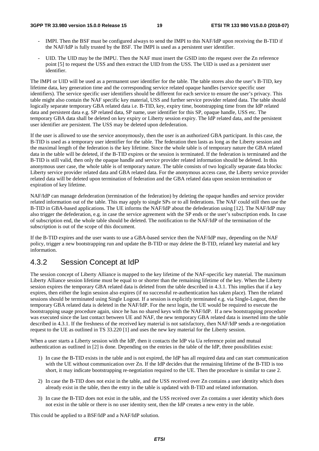#### **3GPP TR 33.980 version 15.0.0 Release 15 19 ETSI TR 133 980 V15.0.0 (2018-07)**

- IMPI. Then the BSF must be configured always to send the IMPI to this NAF/IdP upon receiving the B-TID if the NAF/IdP is fully trusted by the BSF. The IMPI is used as a persistent user identifier.
- UID. The UID may be the IMPU. Then the NAF must insert the GSID into the request over the Zn reference point [5] to request the USS and then extract the UID from the USS. The UID is used as a persistent user identifier.

The IMPI or UID will be used as a permanent user identifier for the table. The table stores also the user's B-TID, key lifetime data, key generation time and the corresponding service related opaque handles (service specific user identifiers). The service specific user identifiers should be different for each service to ensure the user's privacy. This table might also contain the NAF specific key material, USS and further service provider related data. The table should logically separate temporary GBA related data i.e. B-TID, key, expiry time, bootstrapping time from the IdP related data and persistent data e.g. SP related data, SP name, user identifier for this SP, opaque handle, USS etc. The temporary GBA data shall be deleted on key expiry or Liberty session expiry. The IdP related data, and the persistent user identifier are persistent. The USS may be deleted upon defederation.

If the user is allowed to use the service anonymously, then the user is an authorized GBA participant. In this case, the B-TID is used as a temporary user identifier for the table. The federation then lasts as long as the Liberty session and the maximal length of the federation is the key lifetime. Since the whole table is of temporary nature the GBA related data in the table will be deleted, if the B-TID expires or the session is terminated. If the federation is terminated and the B-TID is still valid, then only the opaque handle and service provider related information should be deleted. In this anonymous user case, the whole table is of temporary nature. The table consists of two logically separate data blocks: Liberty service provider related data and GBA related data. For the anonymous access case, the Liberty service provider related data will be deleted upon termination of federation and the GBA related data upon session termination or expiration of key lifetime.

NAF/IdP can manage defederation (termination of the federation) by deleting the opaque handles and service provider related information out of the table. This may apply to single SPs or to all federations. The NAF could still then use the B-TID in GBA-based applications. The UE informs the NAF/IdP about the defederation using [12]. The NAF/IdP may also trigger the defederation, e.g. in case the service agreement with the SP ends or the user's subscription ends. In case of subscription end, the whole table should be deleted. The notification to the NAF/IdP of the termination of the subscription is out of the scope of this document.

If the B-TID expires and the user wants to use a GBA-based service then the NAF/IdP may, depending on the NAF policy, trigger a new bootstrapping run and update the B-TID or may delete the B-TID, related key material and key information.

# 4.3.2 Session Concept at IdP

The session concept of Liberty Alliance is mapped to the key lifetime of the NAF-specific key material. The maximum Liberty Alliance session lifetime must be equal to or shorter than the remaining lifetime of the key. When the Liberty session expires the temporary GBA related data is deleted from the table described in 4.3.1. This implies that if a key expires, then either the login session also expires (if no successful re-authentication has taken place). Then the related sessions should be terminated using Single Logout. If a session is explicitly terminated e.g. via Single-Logout, then the temporary GBA related data is deleted in the NAF/IdP. For the next login, the UE would be required to execute the bootstrapping usage procedure again, since he has no shared keys with the NAF/IdP. If a new bootstrapping procedure was executed since the last contact between UE and NAF, the new temporary GBA related data is inserted into the table described in 4.3.1. If the freshness of the received key material is not satisfactory, then NAF/IdP sends a re-negotiation request to the UE as outlined in TS 33.220 [1] and uses the new key material for the Liberty session.

When a user starts a Liberty session with the IdP, then it contacts the IdP via Ua reference point and mutual authentication as outlined in [2] is done. Depending on the entries in the table of the IdP, three possibilities exist:

- 1) In case the B-TID exists in the table and is not expired, the IdP has all required data and can start communication with the UE without communication over Zn. If the IdP decides that the remaining lifetime of the B-TID is too short, it may indicate bootstrapping re-negotiation required to the UE. Then the procedure is similar to case 2.
- 2) In case the B-TID does not exist in the table, and the USS received over Zn contains a user identity which does already exist in the table, then the entry in the table is updated with B-TID and related information.
- 3) In case the B-TID does not exist in the table, and the USS received over Zn contains a user identity which does not exist in the table or there is no user identity sent, then the IdP creates a new entry in the table.

This could be applied to a BSF/IdP and a NAF/IdP solution.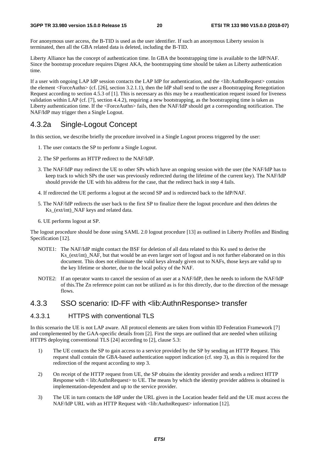For anonymous user access, the B-TID is used as the user identifier. If such an anonymous Liberty session is terminated, then all the GBA related data is deleted, including the B-TID.

Liberty Alliance has the concept of authentication time. In GBA the bootstrapping time is available to the IdP/NAF. Since the bootstrap procedure requires Digest AKA, the bootstrapping time should be taken as Liberty authentication time.

If a user with ongoing LAP IdP session contacts the LAP IdP for authentication, and the <lib:AuthnRequest> contains the element <ForceAuthn> (cf. [26], section 3.2.1.1), then the IdP shall send to the user a Bootstrapping Renegotiation Request according to section 4.5.3 of [1]. This is necessary as this may be a reauthentication request issued for liveness validation within LAP (cf. [7], section 4.4.2), requiring a new bootstrapping, as the bootstrapping time is taken as Liberty authentication time. If the <ForceAuthn> fails, then the NAF/IdP should get a corresponding notification. The NAF/IdP may trigger then a Single Logout.

#### 4.3.2a Single-Logout Concept

In this section, we describe briefly the procedure involved in a Single Logout process triggered by the user:

- 1. The user contacts the SP to perfomr a Single Logout.
- 2. The SP performs an HTTP redirect to the NAF/IdP.
- 3. The NAF/IdP may redirect the UE to other SPs which have an ongoing session with the user (the NAF/IdP has to keep track to which SPs the user was previously redirected during the lifetime of the current key). The NAF/IdP should provide the UE with his address for the case, that the redirect back in step 4 fails.
- 4. If redirected the UE performs a logout at the second SP and is redirected back to the IdP/NAF.
- 5. The NAF/IdP redirects the user back to the first SP to finalize there the logout procedure and then deletes the Ks (ext/int) NAF keys and related data.
- 6. UE performs logout at SP.

The logout procedure should be done using SAML 2.0 logout procedure [13] as outlined in Liberty Profiles and Binding Specification [12].

- NOTE1: The NAF/IdP might contact the BSF for deletion of all data related to this Ks used to derive the Ks (ext/int) NAF, but that would be an even larger sort of logout and is not further elaborated on in this document. This does not eliminate the valid keys already given out to NAFs, those keys are valid up to the key lifetime or shorter, due to the local policy of the NAF.
- NOTE2: If an operator wants to cancel the session of an user at a NAF/IdP, then he needs to inform the NAF/IdP of this.The Zn reference point can not be utilized as is for this directly, due to the direction of the message flows.

### 4.3.3 SSO scenario: ID-FF with <lib:AuthnResponse> transfer

#### 4.3.3.1 HTTPS with conventional TLS

In this scenario the UE is not LAP aware. All protocol elements are taken from within ID Federation Framework [7] and complemented by the GAA-specific details from [2]. First the steps are outlined that are needed when utilizing HTTPS deploying conventional TLS [24] according to [2], clause 5.3:

- 1) The UE contacts the SP to gain access to a service provided by the SP by sending an HTTP Request. This request shall contain the GBA-based authentication support indication (cf. step 3), as this is required for the redirection of the request according to step 3.
- 2) On receipt of the HTTP request from UE, the SP obtains the identity provider and sends a redirect HTTP Response with < lib:AuthnRequest> to UE. The means by which the identity provider address is obtained is implementation-dependent and up to the service provider.
- 3) The UE in turn contacts the IdP under the URL given in the Location header field and the UE must access the NAF/IdP URL with an HTTP Request with <lib:AuthnRequest> information [12].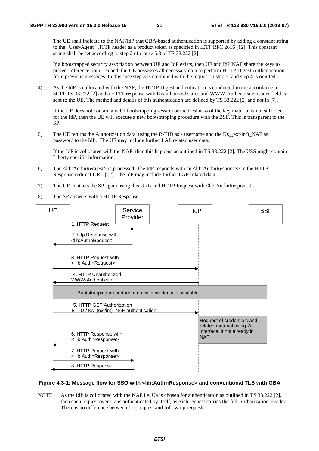The UE shall indicate to the NAF/IdP that GBA-based authentication is supported by adding a constant string to the "User-Agent" HTTP header as a product token as specified in IETF RFC 2616 [12]. This constant string shall be set according to step 2 of clause 5.3 of TS 33.222 [2].

 If a bootstrapped security association between UE and IdP exists, then UE and IdP/NAF share the keys to protect reference point Ua and the UE possesses all necessary data to perform HTTP Digest Authentication from previous messages. In this case step 3 is combined with the request in step 5, and step 4 is omitted.

4) As the IdP is collocated with the NAF, the HTTP Digest authentication is conducted in the accordance to 3GPP TS 33.222 [2] and a HTTP response with Unauthorized status and WWW-Authenticate header field is sent to the UE. The method and details of this authentication are defined by TS 33.222 [2] and not in [7].

 If the UE does not contain a valid bootstrapping session or the freshness of the key material is not sufficient for the IdP, then the UE will execute a new bootstrapping procedure with the BSF. This is transparent to the SP.

5) The UE returns the Authorization data, using the B-TID as a username and the Ks\_(ext/int)\_NAF as password to the IdP. The UE may include further LAP related user data.

 If the IdP is collocated with the NAF, then this happens as outlined in TS 33.222 [2]. The USS might contain Liberty specific information.

- 6) The <lib:AuthnRequest> is processed. The IdP responds with an <lib:AuthnResponse> in the HTTP Response redirect URL [12]. The IdP may include further LAP-related data.
- 7) The UE contacts the SP again using this URL and HTTP Request with <lib:AuthnResponse>.
- 8) The SP answers with a HTTP Response.



#### **Figure 4.3-1: Message flow for SSO with <lib:AuthnResponse> and conventional TLS with GBA**

NOTE 1: As the IdP is collocated with the NAF i.e. Ua is chosen for authentication as outlined in TS 33.222 [2], then each request over Ua is authenticated by itself, as each request carries the full Authorization Header. There is no difference between first request and follow-up requests.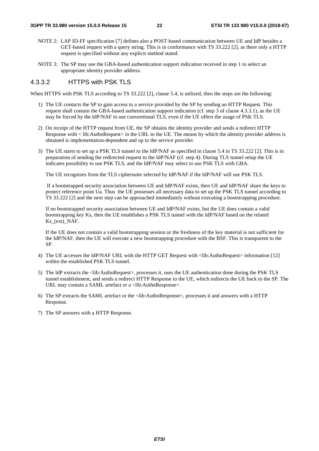- NOTE 2: LAP ID-FF specification [7] defines also a POST-based communication between UE and IdP besides a GET-based request with a query string. This is in conformance with TS 33.222 [2], as there only a HTTP request is specified without any explicit method stated.
- NOTE 3: The SP may use the GBA-based authentication support indication received in step 1 to select an appropriate identity provider address.

#### 4.3.3.2 HTTPS with PSK TLS

When HTTPS with PSK TLS according to TS 33.222 [2], clause 5.4, is utilized, then the steps are the following:

- 1) The UE contacts the SP to gain access to a service provided by the SP by sending an HTTP Request. This request shall contain the GBA-based authentication support indication (cf. step 3 of clause 4.3.3.1), as the UE may be forced by the IdP/NAF to use conventional TLS, even if the UE offers the usage of PSK TLS.
- 2) On receipt of the HTTP request from UE, the SP obtains the identity provider and sends a redirect HTTP Response with < lib:AuthnRequest> in the URL to the UE. The means by which the identity provider address is obtained is implementation-dependent and up to the service provider.
- 3) The UE starts to set up a PSK TLS tunnel to the IdP/NAF as specified in clause 5.4 in TS 33.222 [2]. This is in preparation of sending the redirected request to the IdP/NAF (cf. step 4). During TLS tunnel setup the UE indicates possibility to use PSK TLS, and the IdP/NAF may select to use PSK TLS with GBA.

The UE recognizes from the TLS ciphersuite selected by IdP/NAF if the IdP/NAF will use PSK TLS.

 If a bootstrapped security association between UE and IdP/NAF exists, then UE and IdP/NAF share the keys to protect reference point Ua. Thus the UE possesses all necessary data to set up the PSK TLS tunnel according to TS 33.222 [2] and the next step can be approached immediately without executing a bootstrapping procedure.

 If no bootstrapped security association between UE and IdP/NAF exists, but the UE does contain a valid bootstrapping key Ks, then the UE establishes a PSK TLS tunnel with the IdP/NAF based on the related Ks (ext) NAF.

 If the UE does not contain a valid bootstrapping session or the freshness of the key material is not sufficient for the IdP/NAF, then the UE will execute a new bootstrapping procedure with the BSF. This is transparent to the SP.

- 4) The UE accesses the IdP/NAF URL with the HTTP GET Request with <lib:AuthnRequest> information [12] within the established PSK TLS tunnel.
- 5) The IdP extracts the <lib:AuthnRequest>, processes it, uses the UE authentication done during the PSK TLS tunnel establishment, and sends a redirect HTTP Response to the UE, which redirects the UE back to the SP. The URL may contain a SAML artefact or a <lib:AuthnResponse>.
- 6) The SP extracts the SAML artefact or the <lib:AuthnResponse>, processes it and answers with a HTTP Response.
- 7) The SP answers with a HTTP Response.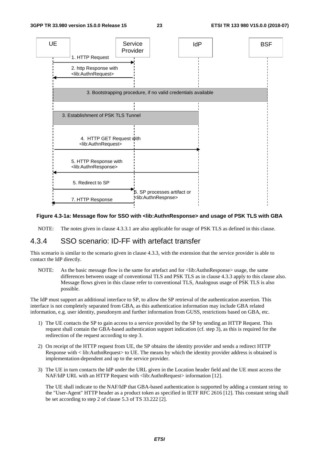

#### **Figure 4.3-1a: Message flow for SSO with <lib:AuthnResponse> and usage of PSK TLS with GBA**

NOTE: The notes given in clause 4.3.3.1 are also applicable for usage of PSK TLS as defined in this clause.

#### 4.3.4 SSO scenario: ID-FF with artefact transfer

This scenario is similar to the scenario given in clause 4.3.3, with the extension that the service provider is able to contact the IdP directly.

NOTE: As the basic message flow is the same for artefact and for  $\langle$ lib:AuthnResponse> usage, the same differences between usage of conventional TLS and PSK TLS as in clause 4.3.3 apply to this clause also. Message flows given in this clause refer to conventional TLS, Analogous usage of PSK TLS is also possible.

The IdP must support an additional interface to SP, to allow the SP retrieval of the authentication assertion. This interface is not completely separated from GBA, as this authentication information may include GBA related information, e.g. user identity, pseudonym and further information from GUSS, restrictions based on GBA, etc.

- 1) The UE contacts the SP to gain access to a service provided by the SP by sending an HTTP Request. This request shall contain the GBA-based authentication support indication (cf. step 3), as this is required for the redirection of the request according to step 3.
- 2) On receipt of the HTTP request from UE, the SP obtains the identity provider and sends a redirect HTTP Response with < lib:AuthnRequest> to UE. The means by which the identity provider address is obtained is implementation-dependent and up to the service provider.
- 3) The UE in turn contacts the IdP under the URL given in the Location header field and the UE must access the NAF/IdP URL with an HTTP Request with <lib:AuthnRequest> information [12].

 The UE shall indicate to the NAF/IdP that GBA-based authentication is supported by adding a constant string to the "User-Agent" HTTP header as a product token as specified in IETF RFC 2616 [12]. This constant string shall be set according to step 2 of clause 5.3 of TS 33.222 [2].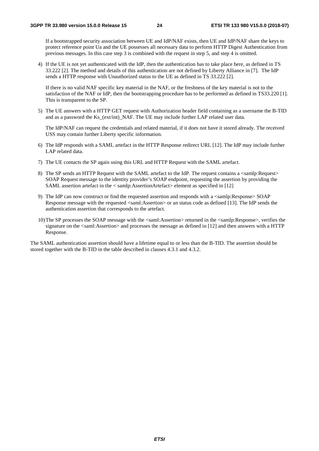If a bootstrapped security association between UE and IdP/NAF exists, then UE and IdP/NAF share the keys to protect reference point Ua and the UE possesses all necessary data to perform HTTP Digest Authentication from previous messages. In this case step 3 is combined with the request in step 5, and step 4 is omitted.

4) If the UE is not yet authenticated with the IdP, then the authentication has to take place here, as defined in TS 33.222 [2]. The method and details of this authentication are not defined by Liberty Alliance in [7]. The IdP sends a HTTP response with Unauthorized status to the UE as defined in TS 33.222 [2].

If there is no valid NAF specific key material in the NAF, or the freshness of the key material is not to the satisfaction of the NAF or IdP, then the bootstrapping procedure has to be performed as defined in TS33.220 [1]. This is transparent to the SP.

5) The UE answers with a HTTP GET request with Authorization header field containing as a username the B-TID and as a password the Ks (ext/int) NAF. The UE may include further LAP related user data.

The IdP/NAF can request the credentials and related material, if it does not have it stored already. The received USS may contain further Liberty specific information.

- 6) The IdP responds with a SAML artefact in the HTTP Response redirect URL [12]. The IdP may include further LAP related data.
- 7) The UE contacts the SP again using this URL and HTTP Request with the SAML artefact.
- 8) The SP sends an HTTP Request with the SAML artefact to the IdP. The request contains a <samlp:Request> SOAP Request message to the identity provider's SOAP endpoint, requesting the assertion by providing the SAML assertion artefact in the < samlp:AssertionArtefact> element as specified in [12]
- 9) The IdP can now construct or find the requested assertion and responds with a <samlp:Response> SOAP Response message with the requested <saml:Assertion> or an status code as defined [13]. The IdP sends the authentication assertion that corresponds to the artefact.
- 10) The SP processes the SOAP message with the <saml:Assertion> returned in the <samlp:Response>, verifies the signature on the  $\le$ saml:Assertion> and processes the message as defined in [12] and then answers with a HTTP Response.

The SAML authentication assertion should have a lifetime equal to or less than the B-TID. The assertion should be stored together with the B-TID in the table described in clauses 4.3.1 and 4.3.2.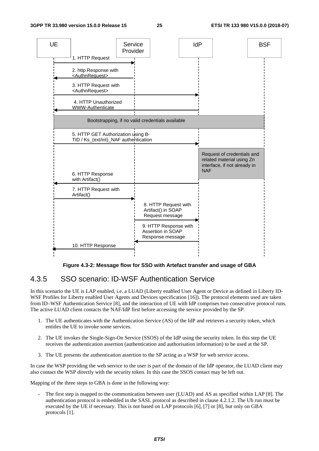

**Figure 4.3-2: Message flow for SSO with Artefact transfer and usage of GBA** 

#### 4.3.5 SSO scenario: ID-WSF Authentication Service

In this scenario the UE is LAP enabled, i.e. a LUAD (Liberty enabled User Agent or Device as defined in Liberty ID-WSF Profiles for Liberty enabled User Agents and Devices specification [16]). The protocol elements used are taken from ID–WSF Authentication Service [8], and the interaction of UE with IdP comprises two consecutive protocol runs. The active LUAD client contacts the NAF/IdP first before accessing the service provided by the SP.

- 1. The UE authenticates with the Authentication Service (AS) of the IdP and retrieves a security token, which entitles the UE to invoke some services.
- 2. The UE invokes the Single-Sign-On Service (SSOS) of the IdP using the security token. In this step the UE receives the authentication assertion (authentication and authorisation information) to be used at the SP.
- 3. The UE presents the authentication assertion to the SP acting as a WSP for web service access.

In case the WSP providing the web service to the user is part of the domain of the IdP operator, the LUAD client may also contact the WSP directly with the security token. In this case the SSOS contact may be left out.

Mapping of the three steps to GBA is done in the following way:

The first step is mapped to the communication between user (LUAD) and AS as specified within LAP [8]. The authentication protocol is embedded in the SASL protocol as described in clause 4.2.1.2. The Ub run must be executed by the UE if necessary. This is not based on LAP protocols [6], [7] or [8], but only on GBA protocols [1].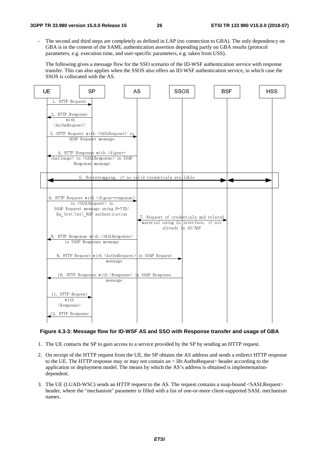The second and third steps are completely as defined in LAP (no connection to GBA). The only dependency on GBA is in the content of the SAML authentication assertion depending partly on GBA results (protocol parameters, e.g. execution time, and user-specific parameters, e.g. taken from USS).

The following gives a message flow for the SSO scenario of the ID-WSF authentication service with response transfer. This can also applies when the SSOS also offers an ID-WSF authentication service, in which case the SSOS is collocated with the AS.



#### **Figure 4.3-3: Message flow for ID-WSF AS and SSO with Response transfer and usage of GBA**

- 1. The UE contacts the SP to gain access to a service provided by the SP by sending an HTTP request.
- 2. On receipt of the HTTP request from the UE, the SP obtains the AS address and sends a redirect HTTP response to the UE. The HTTP response may or may not contain an < lib:AuthnRequest> header according to the application or deployment model. The means by which the AS's address is obtained is implementationdependent.
- 3. The UE (LUAD-WSC) sends an HTTP request to the AS. The request contains a soap-bound <SASLRequest> header, where the "mechanism" parameter is filled with a list of one-or-more client-supported SASL mechanism names.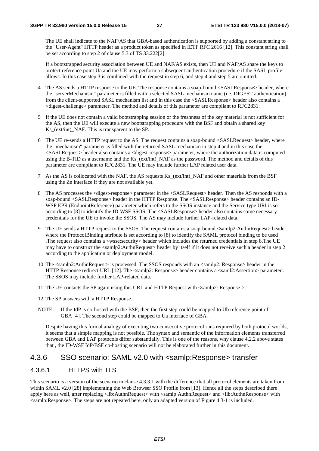The UE shall indicate to the NAF/AS that GBA-based authentication is supported by adding a constant string to the "User-Agent" HTTP header as a product token as specified in IETF RFC 2616 [12]. This constant string shall be set according to step 2 of clause 5.3 of TS 33.222[2].

If a bootstrapped security association between UE and NAF/AS exists, then UE and NAF/AS share the keys to protect reference point Ua and the UE may perform a subsequent authentication procedure if the SASL profile allows. In this case step 3 is combined with the request in step 6, and step 4 and step 5 are omitted.

- 4 The AS sends a HTTP response to the UE. The response contains a soap-bound <SASLResponse> header, where the "serverMechanism" parameter is filled with a selected SASL mechanism name (i.e. DIGEST authentication) from the client-supported SASL mechanism list and in this case the <SASLResponse> header also contains a <digest-challenge> parameter. The method and details of this parameter are compliant to RFC2831.
- 5 If the UE does not contain a valid bootstrapping session or the freshness of the key material is not sufficient for the AS, then the UE will execute a new bootstrapping procedure with the BSF and obtain a shared key Ks (ext/int) NAF. This is transparent to the SP.
- 6 The UE re-sends a HTTP request to the AS. The request contains a soap-bound <SASLRequest> header, where the "mechanism" parameter is filled with the returned SASL mechanism in step 4 and in this case the <SASLRequest> header also contains a <digest-response> parameter, where the authorization data is computed using the B-TID as a username and the Ks\_(ext/int)\_NAF as the password. The method and details of this parameter are compliant to RFC2831. The UE may include further LAP related user data.
- 7 As the AS is collocated with the NAF, the AS requests Ks\_(ext/int)\_NAF and other materials from the BSF using the Zn interface if they are not available yet.
- 8 The AS processes the <digest-response> parameter in the <SASLRequest> header. Then the AS responds with a soap-bound <SASLResponse> header in the HTTP Response. The <SASLResponse> header contains an ID-WSF EPR (EndpointReference) parameter which refers to the SSOS instance and the Service type URI is set according to [8] to identify the ID-WSF SSOS. The <SASLResponse> header also contains some necessary credentials for the UE to invoke the SSOS. The AS may include further LAP-related data.
- 9 The UE sends a HTTP request to the SSOS. The request contains a soap-bound <samlp2:AuthnRequest> header, where the ProtocolBinding attribute is set according to [8] to identify the SAML protocol binding to be used .The request also contains a <wsse:security> header which includes the returned credentials in step 8.The UE may have to construct the <samlp2:AuthnRequest> header by itself if it does not receive such a header in step 2 according to the application or deployment model.
- 10 The <samlp2:AuthnRequest> is processed. The SSOS responds with an <samlp2: Response> header in the HTTP Response redirect URL [12]. The <samlp2: Response> header contains a <saml2:Assertion> parameter . The SSOS may include further LAP-related data.
- 11 The UE contacts the SP again using this URL and HTTP Request with <samlp2: Response >.
- 12 The SP answers with a HTTP Response.
- NOTE: If the IdP is co-hosted with the BSF, then the first step could be mapped to Ub reference point of GBA [4]. The second step could be mapped to Ua interface of GBA.

Despite having this formal analogy of executing two consecutive protocol runs required by both protocol worlds, it seems that a simple mapping is not possible. The syntax and semantic of the information elements transferred between GBA and LAP protocols differ substantially. This is one of the reasons, why clause 4.2.2 above states that , the ID-WSF IdP/BSF co-hosting scenario will not be elaborated further in this document.

#### 4.3.6 SSO scenario: SAML v2.0 with <samlp:Response> transfer

#### 4.3.6.1 HTTPS with TLS

This scenario is a version of the scenario in clause 4.3.3.1 with the difference that all protocol elements are taken from within SAML v2.0 [28] implementing the Web Browser SSO Profile from [13]. Hence all the steps described there apply here as well, after replacing <lib:AuthnRequest> with <samlp:AuthnRequest> and <lib:AuthnResponse> with <samlp:Response>. The steps are not repeated here, only an adapted version of Figure 4.3-1 is included.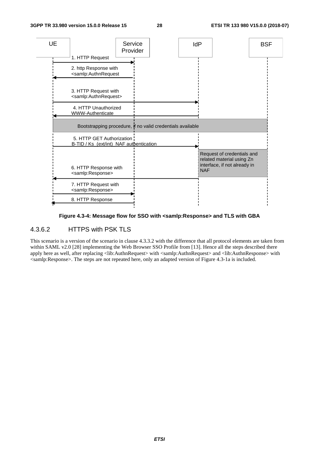

**Figure 4.3-4: Message flow for SSO with <samlp:Response> and TLS with GBA** 

#### 4.3.6.2 HTTPS with PSK TLS

This scenario is a version of the scenario in clause 4.3.3.2 with the difference that all protocol elements are taken from within SAML v2.0 [28] implementing the Web Browser SSO Profile from [13]. Hence all the steps described there apply here as well, after replacing <lib:AuthnRequest> with <samlp:AuthnRequest> and <lib:AuthnResponse> with <samlp:Response>. The steps are not repeated here, only an adapted version of Figure 4.3-1a is included.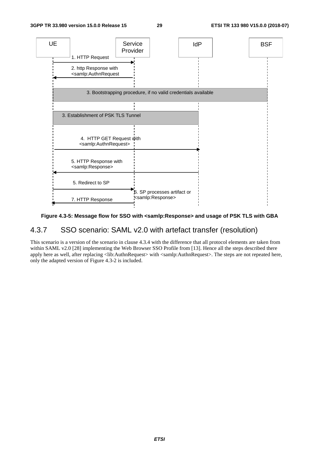

#### **Figure 4.3-5: Message flow for SSO with <samlp:Response> and usage of PSK TLS with GBA**

### 4.3.7 SSO scenario: SAML v2.0 with artefact transfer (resolution)

This scenario is a version of the scenario in clause 4.3.4 with the difference that all protocol elements are taken from within SAML v2.0 [28] implementing the Web Browser SSO Profile from [13]. Hence all the steps described there apply here as well, after replacing <lib:AuthnRequest> with <samlp:AuthnRequest>. The steps are not repeated here, only the adapted version of Figure 4.3-2 is included.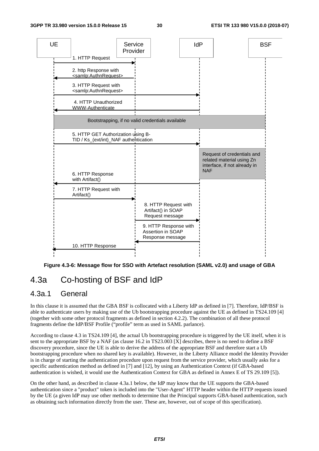

**Figure 4.3-6: Message flow for SSO with Artefact resolution (SAML v2.0) and usage of GBA** 

# 4.3a Co-hosting of BSF and IdP

#### 4.3a.1 General

In this clause it is assumed that the GBA BSF is collocated with a Liberty IdP as defined in [7]. Therefore, IdP/BSF is able to authenticate users by making use of the Ub bootstrapping procedure against the UE as defined in TS24.109 [4] (together with some other protocol fragments as defined in section 4.2.2). The combination of all these protocol fragments define the IdP/BSF Profile ("profile" term as used in SAML parlance).

According to clause 4.3 in TS24.109 [4], the actual Ub bootstrapping procedure is triggered by the UE itself, when it is sent to the appropriate BSF by a NAF (as clause 16.2 in TS23.003 [X] describes, there is no need to define a BSF discovery procedure, since the UE is able to derive the address of the appropriate BSF and therefore start a Ub bootstrapping procedure when no shared key is available). However, in the Liberty Alliance model the Identity Provider is in charge of starting the authentication procedure upon request from the service provider, which usually asks for a specific authentication method as defined in [7] and [12], by using an Authentication Context (if GBA-based authentication is wished, it would use the Authentication Context for GBA as defined in Annex E of TS 29.109 [5]).

On the other hand, as described in clause 4.3a.1 below, the IdP may know that the UE supports the GBA-based authentication since a "product" token is included into the "User-Agent" HTTP header within the HTTP requests issued by the UE (a given IdP may use other methods to determine that the Principal supports GBA-based authentication, such as obtaining such information directly from the user. These are, however, out of scope of this specification).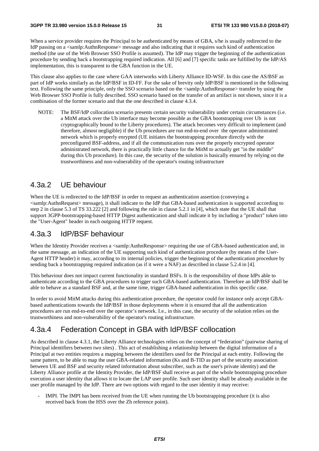When a service provider requires the Principal to be authenticated by means of GBA, s/he is usually redirected to the IdP passing on a <samlp:AuthnResponse> message and also indicating that it requires such kind of authentication method (the use of the Web Browser SSO Profile is assumed). The IdP may trigger the beginning of the authentication procedure by sending back a bootstrapping required indication. All [6] and [7] specific tasks are fulfilled by the IdP/AS implementation, this is transparent to the GBA function in the UE.

This clause also applies to the case where GAA interworks with Liberty Alliance ID-WSF. In this case the AS/BSF as part of IdP works similarly as the IdP/BSF in ID-FF. For the sake of brevity only IdP/BSF is mentioned in the following text. Following the same principle, only the SSO scenario based on the <samlp:AuthnResponse> transfer by using the Web Browser SSO Profile is fully described. SSO scenario based on the transfer of an artifact is not shown, since it is a combination of the former scenario and that the one described in clause 4.3.4.

NOTE: The BSF/IdP collocation scenario presents certain security vulnerability under certain circumstances (i.e. a MitM attack over the Ub interface may become possible as the GBA bootstrapping over Ub is not cryptographically bound to the Liberty procedures). The attack becomes very difficult to implement (and therefore, almost negligible) if the Ub procedures are run end-to-end over the operator administrated network which is properly enrypted (UE initiates the bootstrapping procedure directly with the preconfigured BSF-address, and if all the communication runs over the properly encrypted operator administrated network, there is practically little chance for the MitM to actually get "in the middle" during this Ub procedure). In this case, the security of the solution is basically ensured by relying on the trustworthiness and non-vulnerability of the operator's routing infrastructure

#### 4.3a.2 UE behaviour

When the UE is redirected to the IdP/BSF in order to request an authentication assertion (conveying a <samlp:AuthnRequest> message), it shall indicate to the IdP that GBA-based authentication is supported according to step 2 in clause 5.3 of TS 33.222 [2] and following the rule in clause 5.2.1 in [4], which state that the UE shall that support 3GPP-bootstrapping-based HTTP Digest authentication and shall indicate it by including a "product" token into the "User-Agent" header in each outgoing HTTP request.

### 4.3a.3 IdP/BSF behaviour

When the Identity Provider receives a <samlp:AuthnResponse> requiring the use of GBA-based authentication and, in the same message, an indication of the UE supporting such kind of authentication procedure (by means of the User-Agent HTTP header) it may, according to its internal policies, trigger the beginning of the authentication procedure by sending back a bootstrapping required indication (as if it were a NAF) as described in clause 5.2.4 in [4].

This behaviour does not impact current functionality in standard BSFs. It is the responsibility of those IdPs able to authenticate according to the GBA procedures to trigger such GBA-based authentication. Therefore an IdP/BSF shall be able to behave as a standard BSF and, at the same time, trigger GBA-based authentication in this specific case.

In order to avoid MitM attacks during this authentication procedure, the operator could for instance only accept GBAbased authentications towards the IdP/BSF in those deployments where it is ensured that all the authentication procedures are run end-to-end over the operator's network. I.e., in this case, the security of the solution relies on the trustworthiness and non-vulnerability of the operator's routing infrastructure.

## 4.3a.4 Federation Concept in GBA with IdP/BSF collocation

As described in clause 4.3.1, the Liberty Alliance technologies relies on the concept of "federation" (pairwise sharing of Principal identifiers between two sites) . This act of establishing a relationship between the digital information of a Principal at two entities requires a mapping between the identifiers used for the Principal at each entity. Following the same pattern, to be able to map the user GBA-related information (Ks and B-TID as part of the security association between UE and BSF and security related information about subscriber, such as the user's private identity) and the Liberty Alliance profile at the Identity Provider, the IdP/BSF shall receive as part of the whole bootstrapping procedure execution a user identity that allows it to locate the LAP user profile. Such user identity shall be already available in the user profile managed by the IdP. There are two options with regard to the user identity it may receive:

- IMPI. The IMPI has been received from the UE when running the Ub bootstrapping procedure (it is also received back from the HSS over the Zh reference point).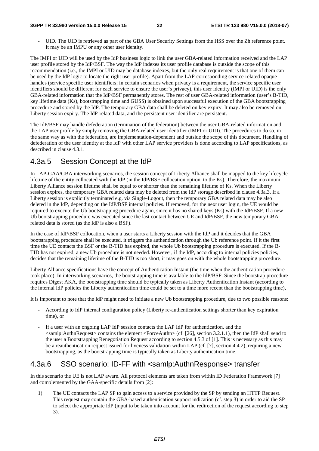#### **3GPP TR 33.980 version 15.0.0 Release 15 32 ETSI TR 133 980 V15.0.0 (2018-07)**

UID. The UID is retrieved as part of the GBA User Security Settings from the HSS over the Zh reference point. It may be an IMPU or any other user identity.

The IMPI or UID will be used by the IdP business logic to link the user GBA-related information received and the LAP user profile stored by the IdP/BSF. The way the IdP indexes its user profile database is outside the scope of this recommendation (i.e., the IMPI or UID may be database indexes, but the only real requirement is that one of them can be used by the IdP logic to locate the right user profile). Apart from the LAP-corresponding service-related opaque handles (service specific user identifiers; in certain scenarios when privacy is a requirement, the service specific user identifiers should be different for each service to ensure the user's privacy), this user identity (IMPI or UID) is the only GBA-related information that the IdP/BSF permanently stores. The rest of user GBA-related information (user's B-TID, key lifetime data (Ks), bootstrapping time and GUSS) is obtained upon successful execution of the GBA bootstrapping procedure and stored by the IdP. The temporary GBA data shall be deleted on key expiry. It may also be removed on Liberty session expiry. The IdP-related data, and the persistent user identifier are persistent.

The IdP/BSF may handle defederation (termination of the federation) between the user GBA-related information and the LAP user profile by simply removing the GBA-related user identifier (IMPI or UID). The procedures to do so, in the same way as with the federation, are implementation-dependent and outside the scope of this document. Handling of defederation of the user identity at the IdP with other LAP service providers is done according to LAP specifications, as described in clause 4.3.1.

# 4.3a.5 Session Concept at the IdP

In LAP-GAA/GBA interworking scenarios, the session concept of Liberty Alliance shall be mapped to the key lifecycle lifetime of the entity collocated with the IdP (in the IdP/BSF collocation option, to the Ks). Therefore, the maximum Liberty Alliance session lifetime shall be equal to or shorter than the remaining lifetime of Ks. When the Liberty session expires, the temporary GBA related data may be deleted from the IdP storage described in clause 4.3a.3. If a Liberty session is explicitly terminated e.g. via Single-Logout, then the temporary GBA related data may be also deleted in the IdP, depending on the IdP/BSF internal policies. If removed, for the next user login, the UE would be required to execute the Ub bootstrapping procedure again, since it has no shared keys (Ks) with the IdP/BSF. If a new Ub bootstrapping procedure was executed since the last contact between UE and IdP/BSF, the new temporary GBA related data is stored (as the IdP is also a BSF).

In the case of IdP/BSF collocation, when a user starts a Liberty session with the IdP and it decides that the GBA bootstrapping procedure shall be executed, it triggers the authentication through the Ub reference point. If it the first time the UE contacts the BSF or the B-TID has expired, the whole Ub bootstrapping procedure is executed. If the B-TID has not expired, a new Ub procedure is not needed. However, if the IdP, according to internal policies policies, decides that the remaining lifetime of the B-TID is too short, it may goes on with the whole bootstrapping procedure.

Liberty Alliance specifications have the concept of Authentication Instant (the time when the authentication procedure took place). In interworking scenarios, the bootstrapping time is available to the IdP/BSF. Since the bootstrap procedure requires Digest AKA, the bootstrapping time should be typically taken as Liberty Authentication Instant (according to the internal IdP policies the Liberty authentication time could be set to a time more recent than the bootstrapping time),

It is important to note that the IdP might need to initiate a new Ub bootstrapping procedure, due to two possible reasons:

- According to IdP internal configuration policy (Liberty re-authentication settings shorter than key expiration time), or
- If a user with an ongoing LAP IdP session contacts the LAP IdP for authentication, and the <samlp:AuthnRequest> contains the element <ForceAuthn> (cf. [26], section 3.2.1.1), then the IdP shall send to the user a Bootstrapping Renegotiation Request according to section 4.5.3 of [1]. This is necessary as this may be a reauthentication request issued for liveness validation within LAP (cf. [7], section 4.4.2), requiring a new bootstrapping, as the bootstrapping time is typically taken as Liberty authentication time.

# 4.3a.6 SSO scenario: ID-FF with <samlp:AuthnResponse> transfer

In this scenario the UE is not LAP aware. All protocol elements are taken from within ID Federation Framework [7] and complemented by the GAA-specific details from [2]:

1) The UE contacts the LAP SP to gain access to a service provided by the SP by sending an HTTP Request. This request may contain the GBA-based authentication support indication (cf. step 3) in order to aid the SP to select the appropriate IdP (input to be taken into account for the redirection of the request according to step 3).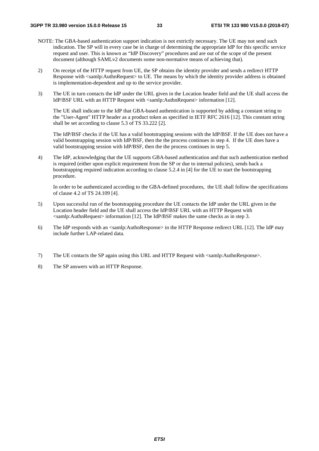- NOTE: The GBA-based authentication support indication is not extrictly necessary. The UE may not send such indication. The SP will in every case be in charge of determining the appropriate IdP for this specific service request and user. This is known as "IdP Discovery" procedures and are out of the scope of the present document (although SAMLv2 documents some non-normative means of achieving that).
- 2) On receipt of the HTTP request from UE, the SP obtains the identity provider and sends a redirect HTTP Response with <samlp:AuthnRequest> to UE. The means by which the identity provider address is obtained is implementation-dependent and up to the service provider.
- 3) The UE in turn contacts the IdP under the URL given in the Location header field and the UE shall access the IdP/BSF URL with an HTTP Request with <samlp:AuthnRequest> information [12].

 The UE shall indicate to the IdP that GBA-based authentication is supported by adding a constant string to the "User-Agent" HTTP header as a product token as specified in IETF RFC 2616 [12]. This constant string shall be set according to clause 5.3 of TS 33.222 [2].

 The IdP/BSF checks if the UE has a valid bootstrapping sessions with the IdP/BSF. If the UE does not have a valid bootstrapping session with IdP/BSF, then the the process continues in step 4. If the UE does have a valid bootstrapping session with IdP/BSF, then the the process continues in step 5.

4) The IdP, acknowledging that the UE supports GBA-based authentication and that such authentication method is required (either upon explicit requirement from the SP or due to internal policies), sends back a bootstrapping required indication according to clause 5.2.4 in [4] for the UE to start the bootstrapping procedure.

 In order to be authenticated according to the GBA-defined procedures, the UE shall follow the specifications of clause 4.2 of TS 24.109 [4].

- 5) Upon successful run of the bootstrapping procedure the UE contacts the IdP under the URL given in the Location header field and the UE shall access the IdP/BSF URL with an HTTP Request with  $\leq$ samlp:AuthnRequest $>$  information [12]. The IdP/BSF makes the same checks as in step 3.
- 6) The IdP responds with an <samlp:AuthnResponse> in the HTTP Response redirect URL [12]. The IdP may include further LAP-related data.
- 7) The UE contacts the SP again using this URL and HTTP Request with <samlp:AuthnResponse>.
- 8) The SP answers with an HTTP Response.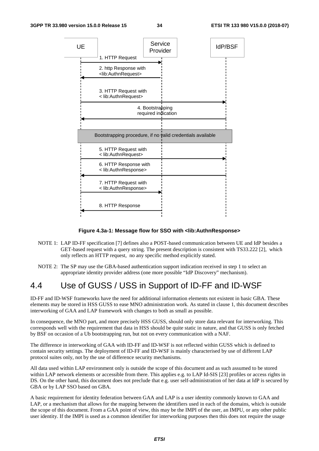

#### **Figure 4.3a-1: Message flow for SSO with <lib:AuthnResponse>**

- NOTE 1: LAP ID-FF specification [7] defines also a POST-based communication between UE and IdP besides a GET-based request with a query string. The present description is consistent with TS33.222 [2], which only reflects an HTTP request, no any specific method explicitly stated.
- NOTE 2: The SP may use the GBA-based authentication support indication received in step 1 to select an appropriate identity provider address (one more possible "IdP Discovery" mechanism).

# 4.4 Use of GUSS / USS in Support of ID-FF and ID-WSF

ID-FF and ID-WSF frameworks have the need for additional information elements not existent in basic GBA. These elements may be stored in HSS GUSS to ease MNO administration work. As stated in clause 1, this document describes interworking of GAA and LAP framework with changes to both as small as possible.

In consequence, the MNO part, and more precisely HSS GUSS, should only store data relevant for interworking. This corresponds well with the requirement that data in HSS should be quite static in nature, and that GUSS is only fetched by BSF on occasion of a Ub bootstrapping run, but not on every communication with a NAF.

The difference in interworking of GAA with ID-FF and ID-WSF is not reflected within GUSS which is defined to contain security settings. The deployment of ID-FF and ID-WSF is mainly characterised by use of different LAP protocol suites only, not by the use of difference security mechanisms.

All data used within LAP environment only is outside the scope of this document and as such assumed to be stored within LAP network elements or accessible from there. This applies e.g. to LAP Id-SIS [23] profiles or access rights in DS. On the other hand, this document does not preclude that e.g. user self-administration of her data at IdP is secured by GBA or by LAP SSO based on GBA.

A basic requirement for identity federation between GAA and LAP is a user identity commonly known to GAA and LAP, or a mechanism that allows for the mapping between the identifiers used in each of the domains, which is outside the scope of this document. From a GAA point of view, this may be the IMPI of the user, an IMPU, or any other public user identity. If the IMPI is used as a common identifier for interworking purposes then this does not require the usage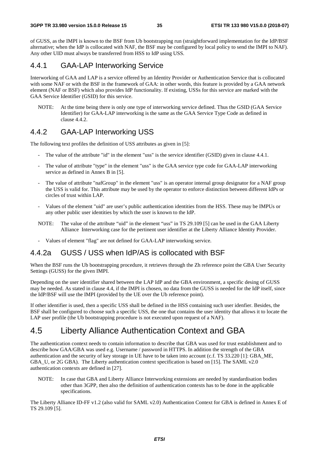of GUSS, as the IMPI is known to the BSF from Ub bootstrapping run (straightforward implementation for the IdP/BSF alternative; when the IdP is collocated with NAF, the BSF may be configured by local policy to send the IMPI to NAF). Any other UID must always be transferred from HSS to IdP using USS.

#### 4.4.1 GAA-LAP Interworking Service

Interworking of GAA and LAP is a service offered by an Identity Provider or Authentication Service that is collocated with some NAF or with the BSF in the framework of GAA: in other words, this feature is provided by a GAA network element (NAF or BSF) which also provides IdP functionality. If existing, USSs for this service are marked with the GAA Service Identifier (GSID) for this service.

NOTE: At the time being there is only one type of interworking service defined. Thus the GSID (GAA Service Identifier) for GAA-LAP interworking is the same as the GAA Service Type Code as defined in clause 4.4.2.

#### 4.4.2 GAA-LAP Interworking USS

The following text profiles the definition of USS attributes as given in [5]:

- The value of the attribute "id" in the element "uss" is the service identifier (GSID) given in clause 4.4.1.
- The value of attribute "type" in the element "uss" is the GAA service type code for GAA-LAP interworking service as defined in Annex B in [5].
- The value of attribute "nafGroup" in the element "uss" is an operator internal group designator for a NAF group the USS is valid for. This attribute may be used by the operator to enforce distinction between different IdPs or circles of trust within LAP.
- Values of the element "uid" are user's public authentication identities from the HSS. These may be IMPUs or any other public user identities by which the user is known to the IdP.
- NOTE: The value of the attribute "uid" in the element "uss" in TS 29.109 [5] can be used in the GAA Liberty Alliance Interworking case for the pertinent user identifier at the Liberty Alliance Identity Provider.
- Values of element "flag" are not defined for GAA-LAP interworking service.

#### 4.4.2a GUSS / USS when IdP/AS is collocated with BSF

When the BSF runs the Ub bootstrapping procedure, it retrieves through the Zh reference point the GBA User Security Settings (GUSS) for the given IMPI.

Depending on the user identifier shared between the LAP IdP and the GBA environment, a specific desing of GUSS may be needed. As stated in clause 4.4, if the IMPI is chosen, no data from the GUSS is needed for the IdP itself, since the IdP/BSF will use the IMPI (provided by the UE over the Ub reference point).

If other identifier is used, then a specific USS shall be defined in the HSS containing such user idenfier. Besides, the BSF shall be configured to choose such a specific USS, the one that contains the user identity that allows it to locate the LAP user profile (the Ub bootstrapping procedure is not executed upon request of a NAF).

# 4.5 Liberty Alliance Authentication Context and GBA

The authentication context needs to contain information to describe that GBA was used for trust establishment and to describe how GAA/GBA was used e.g. Username / password in HTTPS. In addition the strength of the GBA authentication and the security of key storage in UE have to be taken into account (c.f. TS 33.220 [1]: GBA\_ME, GBA U, or 2G GBA). The Liberty authentication context specification is based on [15]. The SAML v2.0 authentication contexts are defined in [27].

NOTE: In case that GBA and Liberty Alliance Interworking extensions are needed by standardisation bodies other than 3GPP, then also the definition of authentication contexts has to be done in the applicable specifications.

The Liberty Alliance ID-FF v1.2 (also valid for SAML v2.0) Authentication Context for GBA is defined in Annex E of TS 29.109 [5].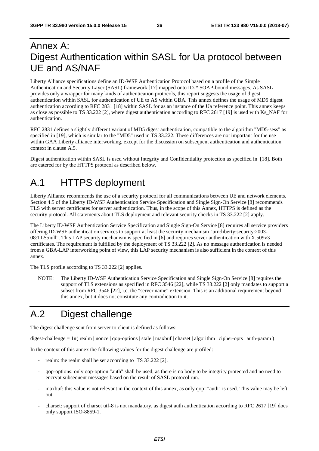# Annex A: Digest Authentication within SASL for Ua protocol between UE and AS/NAF

Liberty Alliance specifications define an ID-WSF Authentication Protocol based on a profile of the Simple Authentication and Security Layer (SASL) framework [17] mapped onto ID-\* SOAP-bound messages. As SASL provides only a wrapper for many kinds of authentication protocols, this report suggests the usage of digest authentication within SASL for authentication of UE to AS within GBA. This annex defines the usage of MD5 digest authentication according to RFC 2831 [18] within SASL for as an instance of the Ua reference point. This annex keeps as close as possible to TS 33.222 [2], where digest authentication according to RFC 2617 [19] is used with Ks\_NAF for authentication.

RFC 2831 defines a slightly different variant of MD5 digest authentication, compatible to the algorithm "MD5-sess" as specified in [19], which is similar to the "MD5" used in TS 33.222. These differences are not important for the use within GAA Liberty alliance interworking, except for the discussion on subsequent authentication and authentication context in clause A.5.

Digest authentication within SASL is used without Integrity and Confidentiality protection as specified in [18]. Both are catered for by the HTTPS protocol as described below.

# A.1 HTTPS deployment

Liberty Alliance recommends the use of a security protocol for all communications between UE and network elements. Section 4.5 of the Liberty ID-WSF Authentication Service Specification and Single Sign-On Service [8] recommends TLS with server certificates for server authentication. Thus, in the scope of this Annex, HTTPS is defined as the security protocol. All statements about TLS deployment and relevant security checks in TS 33.222 [2] apply.

The Liberty ID-WSF Authentication Service Specification and Single Sign-On Service [8] requires all service providers offering ID-WSF authentication services to support at least the security mechanism "urn:liberty:security:2003- 08:TLS:null". This LAP security mechanism is specified in [6] and requires server authentication with X.509v3 certificates. The requirement is fulfilled by the deployment of TS 33.222 [2]. As no message authentication is needed from a GBA-LAP interworking point of view, this LAP security mechanism is also sufficient in the context of this annex.

The TLS profile according to TS 33.222 [2] applies.

NOTE: The Liberty ID-WSF Authentication Service Specification and Single Sign-On Service [8] requires the support of TLS extensions as specified in RFC 3546 [22], while TS 33.222 [2] only mandates to support a subset from RFC 3546 [22], i.e. the "server name" extension. This is an additional requirement beyond this annex, but it does not constitute any contradiction to it.

# A.2 Digest challenge

The digest challenge sent from server to client is defined as follows:

digest-challenge =  $1#$  realm | nonce | gop-options | stale | maxbuf | charset | algorithm | cipher-opts | auth-param )

In the context of this annex the following values for the digest challenge are profiled:

- realm: the realm shall be set according to TS 33.222 [2].
- qop-options: only qop-option "auth" shall be used, as there is no body to be integrity protected and no need to encrypt subsequent messages based on the result of SASL protocol run.
- maxbuf: this value is not relevant in the context of this annex, as only qop="auth" is used. This value may be left out.
- charset: support of charset utf-8 is not mandatory, as digest auth authentication according to RFC 2617 [19] does only support ISO-8859-1.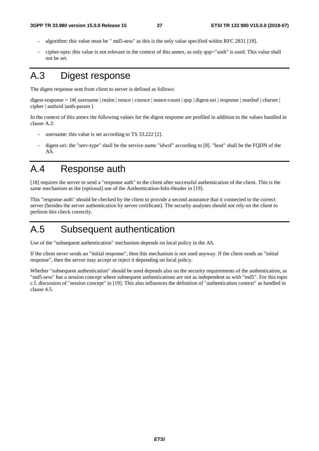- algorithm: this value must be " md5-sess" as this is the only value specified within RFC 2831 [18].
- cipher-opts: this value is not relevant in the context of this annex, as only qop="auth" is used. This value shall not be set.

# A.3 Digest response

The digest response sent from client to server is defined as follows:

digest-response = 1#( username | realm | nonce | cnonce | nonce-count | qop | digest-uri | response | maxbuf | charset |  $cipher | authzi d | auth-param |)$ 

In the context of this annex the following values for the digest response are profiled in addition to the values handled in clause A.2:

- username: this value is set according to TS  $33.222$  [2].
- digest-uri: the "serv-type" shall be the service name "idwsf" according to [8]. "host" shall be the FQDN of the AS.

# A.4 Response auth

[18] requires the server to send a "response auth" to the client after successful authentication of the client. This is the same mechanism as the (optional) use of the Authentication-Info-Header in [19].

This "response auth" should be checked by the client to provide a second assurance that it connected to the correct server (besides the server authentication by server certificate). The security analyses should not rely on the client to perform this check correctly.

# A.5 Subsequent authentication

Use of the "subsequent authentication" mechanism depends on local policy in the AS.

If the client never sends an "initial response", then this mechanism is not used anyway. If the client sends an "initial response", then the server may accept or reject it depending on local policy.

Whether "subsequent authentication" should be used depends also on the security requirements of the authentication, as "md5-sess" has a session concept where subsequent authentications are not as independent as with "md5". For this topic c.f. discussion of "session concept" in [19]. This also influences the definition of "authentication context" as handled in clause 4.5.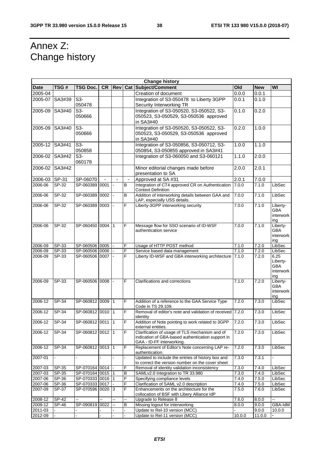# Annex Z: Change history

| <b>Change history</b> |              |                  |      |                |                |                                                                      |                 |            |                          |
|-----------------------|--------------|------------------|------|----------------|----------------|----------------------------------------------------------------------|-----------------|------------|--------------------------|
| <b>Date</b>           | TSG#         | TSG Doc.         |      | CR   Rev       |                | <b>Cat Subject/Comment</b>                                           | O <sub>Id</sub> | <b>New</b> | WI                       |
| 2005-04               |              |                  |      |                |                | Creation of document                                                 | 0.0.0           | 0.0.1      |                          |
| 2005-07               | SA3#39       | S3-              |      |                |                | Integration of S3-050478 to Liberty 3GPP                             | 0.0.1           | 0.1.0      |                          |
|                       |              | 050478           |      |                |                | Security Interworking TR                                             |                 |            |                          |
| 2005-09               | SA3#40       | $S3-$            |      |                |                | Integration of S3-050520, S3-050522, S3-                             | 0.1.0           | 0.2.0      |                          |
|                       |              | 050666           |      |                |                | 050523, S3-050529, S3-050536 approved                                |                 |            |                          |
|                       |              |                  |      |                |                | in SA3#40                                                            |                 |            |                          |
| 2005-09               | SA3#40       | $S3-$            |      |                |                | Integration of S3-050520, S3-050522, S3-                             | 0.2.0           | 1.0.0      |                          |
|                       |              | 050666           |      |                |                | 050523, S3-050529, S3-050536 approved                                |                 |            |                          |
|                       |              |                  |      |                |                | in SA3#40                                                            |                 |            |                          |
|                       |              |                  |      |                |                |                                                                      |                 |            |                          |
| 2005-12               | SA3#41       | $S3-$            |      |                |                | Integration of S3-050856, S3-050712, S3-                             | 1.0.0           | 1.1.0      |                          |
|                       |              | 050858           |      |                |                | 050854, S3-050855 approved in SA3#41                                 |                 |            |                          |
| 2006-02               | SA3#42       | $S3-$            |      |                |                | Integration of S3-060050 and S3-060121                               | 1.1.0           | 2.0.0      |                          |
|                       |              | 060178           |      |                |                |                                                                      |                 |            |                          |
| 2006-02               | SA3#42       |                  |      |                |                | Minor editorial changes made before                                  | 2.0.0           | 2.0.1      |                          |
|                       |              |                  |      |                |                | presentation to SA                                                   |                 |            |                          |
| 2006-03               | <b>SP-31</b> | SP-06070         |      |                | $\blacksquare$ | Approved at SA #31                                                   | 2.0.1           | 7.0.0      |                          |
| 2006-06               | SP-32        | SP-060389 0001   |      |                | В              | Integration of CT4 approved CR on Authentication                     | 7.0.0           | 7.1.0      | LibSec                   |
|                       |              |                  |      |                |                | <b>Context Definition</b>                                            |                 |            |                          |
| 2006-06               | SP-32        | SP-060389        | 0002 |                | B              | Addition of interworking details between GAA and                     | 7.0.0           | 7.1.0      | LibSec                   |
|                       |              |                  |      |                |                | LAP, especially USS details.                                         |                 |            |                          |
| 2006-06               | SP-32        | SP-060389 0003   |      | $\blacksquare$ | F              | Liberty-3GPP interworking security                                   | 7.0.0           | 7.1.0      | Liberty-                 |
|                       |              |                  |      |                |                |                                                                      |                 |            | <b>GBA</b>               |
|                       |              |                  |      |                |                |                                                                      |                 |            | interwork<br>ing         |
| 2006-06               | $SP-32$      | SP-060450 0004 1 |      |                | F              | Message flow for SSO scenario of ID-WSF                              | 7.0.0           | 7.1.0      | Liberty-                 |
|                       |              |                  |      |                |                | authentication service                                               |                 |            | <b>GBA</b>               |
|                       |              |                  |      |                |                |                                                                      |                 |            | interwork                |
|                       |              |                  |      |                |                |                                                                      |                 |            | ing                      |
| 2006-09               | SP-33        | SP-060506 0005   |      |                | F              | Usage of HTTP POST method                                            | 7.1.0           | 7.2.0      | LibSec                   |
| 2006-09               | SP-33        | SP-060506 0006   |      |                | F              | Service based data management                                        | 7.1.0           | 7.2.0      | LibSec                   |
| 2006-09               | SP-33        | SP-060506 0007   |      |                | F              | Liberty ID-WSF and GBA interworking architecture                     | 7.1.0           | 7.2.0      | 6.25                     |
|                       |              |                  |      |                |                |                                                                      |                 |            | Liberty-                 |
|                       |              |                  |      |                |                |                                                                      |                 |            | <b>GBA</b>               |
|                       |              |                  |      |                |                |                                                                      |                 |            | interwork                |
| 2006-09               | SP-33        | SP-060506 0008   |      |                | $\overline{F}$ | Clarifications and corrections                                       | 7.1.0           | 7.2.0      | ing                      |
|                       |              |                  |      |                |                |                                                                      |                 |            | Liberty-<br><b>GBA</b>   |
|                       |              |                  |      |                |                |                                                                      |                 |            | interwork                |
|                       |              |                  |      |                |                |                                                                      |                 |            | ing                      |
| 2006-12               | $SP-34$      | SP-060812 0009 1 |      |                | F              | Addition of a reference to the GAA Service Type                      | 7.2.0           | 7.3.0      | LibSec                   |
|                       |              |                  |      |                |                | Code in TS 29.109.                                                   |                 |            |                          |
| 2006-12               | SP-34        | SP-060812 0010 1 |      |                | F              | Removal of editor's note and validation of received 7.2.0            |                 | 7.3.0      | LibSec                   |
|                       |              |                  |      |                |                | identity                                                             |                 |            |                          |
| 2006-12               | $SP-34$      | SP-060812 0011 1 |      |                | F              | Addition of Note pointing to work related to 3GPP                    | 7.2.0           | 7.3.0      | LibSec                   |
|                       |              |                  |      |                |                | external entities.                                                   |                 |            |                          |
| 2006-12               | $SP-34$      | SP-060812 0012 1 |      |                | F              | Clarification of usage of TLS mechanism and of                       | 7.2.0           | 7.3.0      | LibSec                   |
|                       |              |                  |      |                |                | indication of GBA-based authentication support in                    |                 |            |                          |
|                       |              |                  |      |                |                | GAA - ID-FF interworking.                                            |                 |            |                          |
| 2006-12               | SP-34        | SP-060812 0013 1 |      |                | F              | Replacement of Editor's Note concerning LAP re-                      | 7.2.0           | 7.3.0      | LibSec                   |
|                       |              |                  |      |                |                | authentication.<br>Updated to include the entries of history box and |                 |            |                          |
| 2007-01               |              |                  |      |                |                | to correct the version number on the cover sheet                     | 7.3.0           | 7.3.1      |                          |
| 2007-03               | SP-35        | SP-070164 0014   |      |                | F              | Removal of identity validation inconsistency                         | 7.3.0           | 7.4.0      | LibSec                   |
| 2007-03               | SP-35        | SP-070164 0015 1 |      |                | В              | SAMLv2.0 Integration to TR 33.980                                    | 7.3.0           | 7.4.0      | LibSec                   |
| 2007-06               | SP-36        | SP-070333 0016 1 |      |                | F              | Specifying compliance levels                                         | 7.4.0           | 7.5.0      | LibSec                   |
| 2007-06               | SP-36        | SP-070333 0017   |      |                | F              | Clarification of SAML v2.0 description                               | 7.4.0           | 7.5.0      | LibSec                   |
| 2007-09               | SP-37        | SP-070596 0020 3 |      |                | F              | Enhancements on the architecture for the                             | 7.5.0           | 7.6.0      | LibSec                   |
|                       |              |                  |      |                |                | collocation of BSF with Libery Alliance IdP                          |                 |            |                          |
| 2008-12               | SP-42        | Ш,               | u.   | ш.             | Ц,             | Upgrade to Release 8                                                 | 7.6.0           | 8.0.0      | --                       |
| 2009-12               | SP-46        | SP-090819 0022   |      |                | B              | Missing logout for interworking                                      | 8.0.0           | 9.0.0      | GBA-IdM                  |
| 2011-03               |              |                  |      |                |                | Update to Rel-10 version (MCC)                                       |                 | 9.0.0      | 10.0.0                   |
| 2012-09               |              |                  |      |                |                | Update to Rel-11 version (MCC)                                       | 10.0.0          | 11.0.0     | $\overline{\phantom{a}}$ |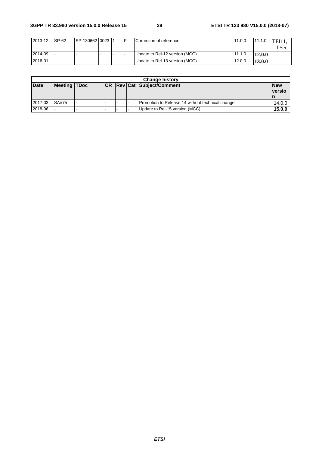| 2013-12 | ISP-62 | ISP-130662 I0023 I1 |  | ICorrection of reference       | 11.0.0 | 11.1.0 | <b>TEIL</b> |
|---------|--------|---------------------|--|--------------------------------|--------|--------|-------------|
|         |        |                     |  |                                |        |        | LibSec      |
| 2014-09 |        |                     |  | Update to Rel-12 version (MCC) | 11.1.0 | 12.0.0 |             |
| 2016-01 |        |                     |  | Update to Rel-13 version (MCC) | 12.0.0 | 13.0.0 |             |

| <b>Change history</b> |                     |  |  |  |  |                                                  |                             |  |  |
|-----------------------|---------------------|--|--|--|--|--------------------------------------------------|-----------------------------|--|--|
| <b>Date</b>           | <b>Meeting TDoc</b> |  |  |  |  | <b>CR Rev Cat Subject/Comment</b>                | <b>New</b><br><u>versio</u> |  |  |
| 2017-03               | <b>SA#75</b>        |  |  |  |  | Promotion to Release 14 without technical change | 14.0.0                      |  |  |
| 2018-06               |                     |  |  |  |  | Update to Rel-15 version (MCC)                   | 15.0.0                      |  |  |